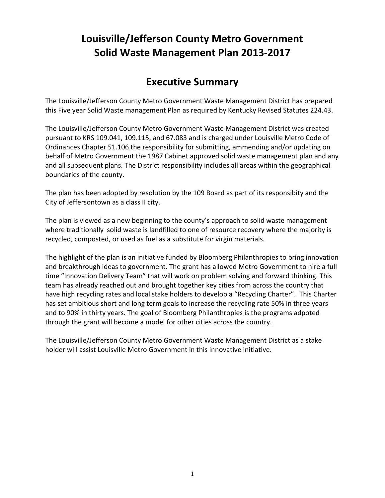## **Louisville/Jefferson County Metro Government Solid Waste Management Plan 2013-2017**

## **Executive Summary**

The Louisville/Jefferson County Metro Government Waste Management District has prepared this Five year Solid Waste management Plan as required by Kentucky Revised Statutes 224.43.

The Louisville/Jefferson County Metro Government Waste Management District was created pursuant to KRS 109.041, 109.115, and 67.083 and is charged under Louisville Metro Code of Ordinances Chapter 51.106 the responsibility for submitting, ammending and/or updating on behalf of Metro Government the 1987 Cabinet approved solid waste management plan and any and all subsequent plans. The District responsibility includes all areas within the geographical boundaries of the county.

The plan has been adopted by resolution by the 109 Board as part of its responsibity and the City of Jeffersontown as a class II city.

The plan is viewed as a new beginning to the county's approach to solid waste management where traditionally solid waste is landfilled to one of resource recovery where the majority is recycled, composted, or used as fuel as a substitute for virgin materials.

The highlight of the plan is an initiative funded by Bloomberg Philanthropies to bring innovation and breakthrough ideas to government. The grant has allowed Metro Government to hire a full time "Innovation Delivery Team" that will work on problem solving and forward thinking. This team has already reached out and brought together key cities from across the country that have high recycling rates and local stake holders to develop a "Recycling Charter". This Charter has set ambitious short and long term goals to increase the recycling rate 50% in three years and to 90% in thirty years. The goal of Bloomberg Philanthropies is the programs adpoted through the grant will become a model for other cities across the country.

The Louisville/Jefferson County Metro Government Waste Management District as a stake holder will assist Louisville Metro Government in this innovative initiative.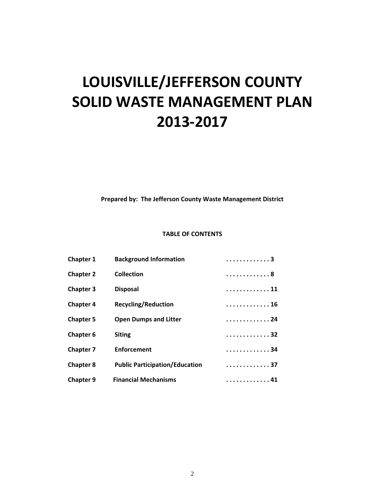# **LOUISVILLE/JEFFERSON COUNTY SOLID WASTE MANAGEMENT PLAN 2013-2017**

**Prepared by: The Jefferson County Waste Management District**

#### **TABLE OF CONTENTS**

| Chapter 1        | <b>Background Information</b>         | . 3  |
|------------------|---------------------------------------|------|
| <b>Chapter 2</b> | <b>Collection</b>                     | . 8  |
| <b>Chapter 3</b> | <b>Disposal</b>                       | . 11 |
| <b>Chapter 4</b> | <b>Recycling/Reduction</b>            | . 16 |
| <b>Chapter 5</b> | <b>Open Dumps and Litter</b>          | . 24 |
| Chapter 6        | <b>Siting</b>                         | . 32 |
| <b>Chapter 7</b> | <b>Enforcement</b>                    | . 34 |
| <b>Chapter 8</b> | <b>Public Participation/Education</b> | . 37 |
| <b>Chapter 9</b> | <b>Financial Mechanisms</b>           | 41   |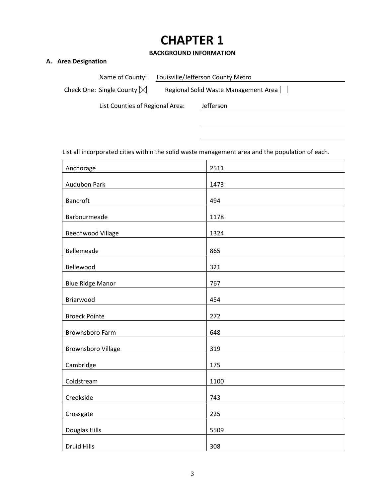## **CHAPTER 1**

#### **BACKGROUND INFORMATION**

#### **A. Area Designation**

Name of County: Louisville/Jefferson County Metro

Check One: Single County  $\boxtimes$  Regional Solid Waste Management Area  $\Box$ 

List Counties of Regional Area: Jefferson

List all incorporated cities within the solid waste management area and the population of each.

| Anchorage               | 2511 |
|-------------------------|------|
| Audubon Park            | 1473 |
| Bancroft                | 494  |
| Barbourmeade            | 1178 |
| Beechwood Village       | 1324 |
| Bellemeade              | 865  |
| Bellewood               | 321  |
| <b>Blue Ridge Manor</b> | 767  |
| Briarwood               | 454  |
| <b>Broeck Pointe</b>    | 272  |
| <b>Brownsboro Farm</b>  | 648  |
| Brownsboro Village      | 319  |
| Cambridge               | 175  |
| Coldstream              | 1100 |
| Creekside               | 743  |
| Crossgate               | 225  |
| Douglas Hills           | 5509 |
| <b>Druid Hills</b>      | 308  |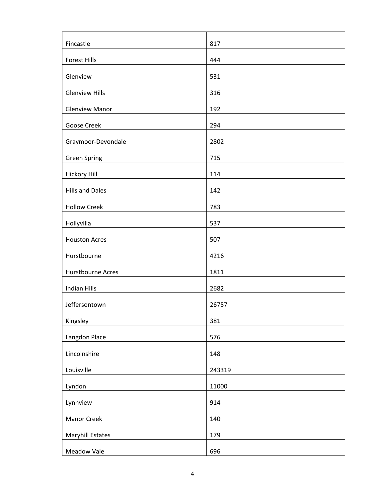| Fincastle              | 817    |
|------------------------|--------|
| <b>Forest Hills</b>    | 444    |
| Glenview               | 531    |
| <b>Glenview Hills</b>  | 316    |
| <b>Glenview Manor</b>  | 192    |
| Goose Creek            | 294    |
| Graymoor-Devondale     | 2802   |
| <b>Green Spring</b>    | 715    |
| <b>Hickory Hill</b>    | 114    |
| <b>Hills and Dales</b> | 142    |
| <b>Hollow Creek</b>    | 783    |
| Hollyvilla             | 537    |
| <b>Houston Acres</b>   | 507    |
| Hurstbourne            | 4216   |
| Hurstbourne Acres      | 1811   |
| <b>Indian Hills</b>    | 2682   |
| Jeffersontown          | 26757  |
| Kingsley               | 381    |
| Langdon Place          | 576    |
| Lincolnshire           | 148    |
| Louisville             | 243319 |
| Lyndon                 | 11000  |
| Lynnview               | 914    |
| Manor Creek            | 140    |
| Maryhill Estates       | 179    |
| Meadow Vale            | 696    |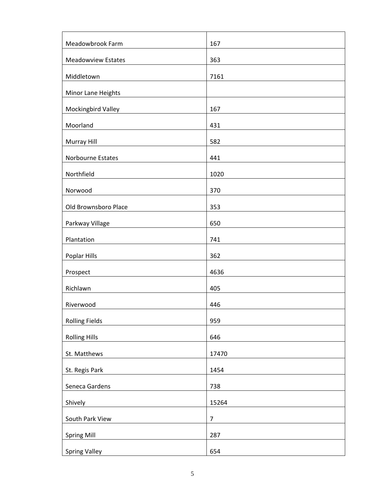| Meadowbrook Farm          | 167            |
|---------------------------|----------------|
| <b>Meadowview Estates</b> | 363            |
| Middletown                | 7161           |
| Minor Lane Heights        |                |
| Mockingbird Valley        | 167            |
| Moorland                  | 431            |
| Murray Hill               | 582            |
| Norbourne Estates         | 441            |
| Northfield                | 1020           |
| Norwood                   | 370            |
| Old Brownsboro Place      | 353            |
| Parkway Village           | 650            |
| Plantation                | 741            |
| Poplar Hills              | 362            |
| Prospect                  | 4636           |
| Richlawn                  | 405            |
| Riverwood                 | 446            |
| <b>Rolling Fields</b>     | 959            |
| <b>Rolling Hills</b>      | 646            |
| St. Matthews              | 17470          |
| St. Regis Park            | 1454           |
| Seneca Gardens            | 738            |
| Shively                   | 15264          |
| South Park View           | $\overline{7}$ |
| <b>Spring Mill</b>        | 287            |
| <b>Spring Valley</b>      | 654            |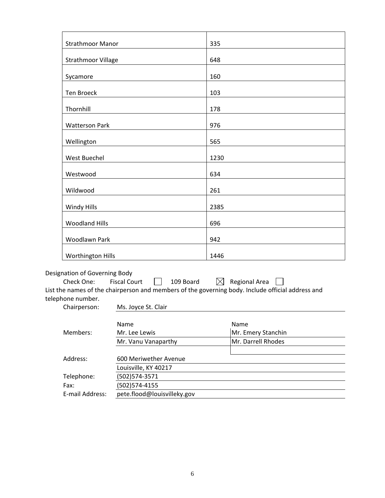| <b>Strathmoor Manor</b>       |                                  | 335         |                                                                                                   |
|-------------------------------|----------------------------------|-------------|---------------------------------------------------------------------------------------------------|
| Strathmoor Village            |                                  | 648         |                                                                                                   |
| Sycamore                      |                                  | 160         |                                                                                                   |
| <b>Ten Broeck</b>             |                                  | 103         |                                                                                                   |
| Thornhill                     |                                  | 178         |                                                                                                   |
| <b>Watterson Park</b>         |                                  | 976         |                                                                                                   |
| Wellington                    |                                  | 565         |                                                                                                   |
| <b>West Buechel</b>           |                                  | 1230        |                                                                                                   |
| Westwood                      |                                  | 634         |                                                                                                   |
| Wildwood                      |                                  | 261         |                                                                                                   |
| Windy Hills                   |                                  | 2385        |                                                                                                   |
| <b>Woodland Hills</b>         |                                  | 696         |                                                                                                   |
| Woodlawn Park                 |                                  | 942         |                                                                                                   |
| Worthington Hills             |                                  | 1446        |                                                                                                   |
| Designation of Governing Body |                                  |             |                                                                                                   |
| Check One:                    | <b>Fiscal Court</b><br>109 Board | $\boxtimes$ | Regional Area                                                                                     |
|                               |                                  |             | List the names of the chairperson and members of the governing body. Include official address and |
| telephone number.             |                                  |             |                                                                                                   |
| Chairperson:                  | Ms. Joyce St. Clair              |             |                                                                                                   |
|                               |                                  |             |                                                                                                   |
| Members:                      | Name<br>Mr. Lee Lewis            |             | Name<br>Mr. Emery Stanchin                                                                        |
|                               | Mr. Vanu Vanaparthy              |             | Mr. Darrell Rhodes                                                                                |
|                               |                                  |             |                                                                                                   |
| Address:                      | 600 Meriwether Avenue            |             |                                                                                                   |
|                               | Louisville, KY 40217             |             |                                                                                                   |
| Telephone:                    | (502) 574-3571                   |             |                                                                                                   |
| Fax:                          | (502) 574-4155                   |             |                                                                                                   |
| E-mail Address:               | pete.flood@louisvilleky.gov      |             |                                                                                                   |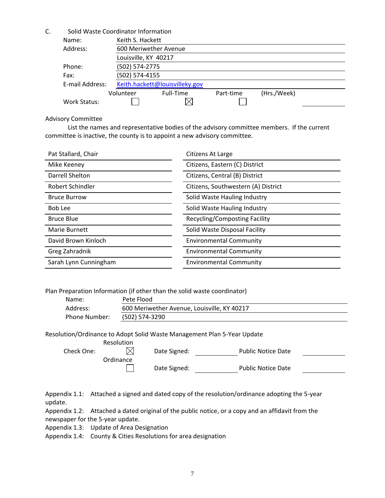| C. |                 |                | Solid Waste Coordinator Information |           |             |  |  |
|----|-----------------|----------------|-------------------------------------|-----------|-------------|--|--|
|    | Name:           |                | Keith S. Hackett                    |           |             |  |  |
|    | Address:        |                | 600 Meriwether Avenue               |           |             |  |  |
|    |                 |                | Louisville, KY 40217                |           |             |  |  |
|    | Phone:          | (502) 574-2775 |                                     |           |             |  |  |
|    | Fax:            |                | (502) 574-4155                      |           |             |  |  |
|    | E-mail Address: |                | Keith.hackett@louisvilleky.gov      |           |             |  |  |
|    |                 | Volunteer      | Full-Time                           | Part-time | (Hrs./Week) |  |  |
|    | Work Status:    |                |                                     |           |             |  |  |

#### Advisory Committee

List the names and representative bodies of the advisory committee members. If the current committee is inactive, the county is to appoint a new advisory committee.

| Pat Stallard, Chair   | Citizens At Large                   |
|-----------------------|-------------------------------------|
| Mike Keeney           | Citizens, Eastern (C) District      |
| Darrell Shelton       | Citizens, Central (B) District      |
| Robert Schindler      | Citizens, Southwestern (A) District |
| <b>Bruce Burrow</b>   | Solid Waste Hauling Industry        |
| Bob Lee               | Solid Waste Hauling Industry        |
| <b>Bruce Blue</b>     | Recycling/Composting Facility       |
| Marie Burnett         | Solid Waste Disposal Facility       |
| David Brown Kinloch   | <b>Environmental Community</b>      |
| Greg Zahradnik        | <b>Environmental Community</b>      |
| Sarah Lynn Cunningham | <b>Environmental Community</b>      |

Plan Preparation Information (if other than the solid waste coordinator)

| Name:                | Pete Flood                                  |
|----------------------|---------------------------------------------|
| Address:             | 600 Meriwether Avenue, Louisville, KY 40217 |
| <b>Phone Number:</b> | (502) 574-3290                              |

Resolution/Ordinance to Adopt Solid Waste Management Plan 5-Year Update

|            | <b>Resolution</b> |              |                           |
|------------|-------------------|--------------|---------------------------|
| Check One: |                   | Date Signed: | <b>Public Notice Date</b> |
|            | Ordinance         |              |                           |
|            |                   | Date Signed: | <b>Public Notice Date</b> |

Appendix 1.1: Attached a signed and dated copy of the resolution/ordinance adopting the 5-year update.

Appendix 1.2: Attached a dated original of the public notice, or a copy and an affidavit from the newspaper for the 5-year update.

Appendix 1.3: Update of Area Designation

Appendix 1.4: County & Cities Resolutions for area designation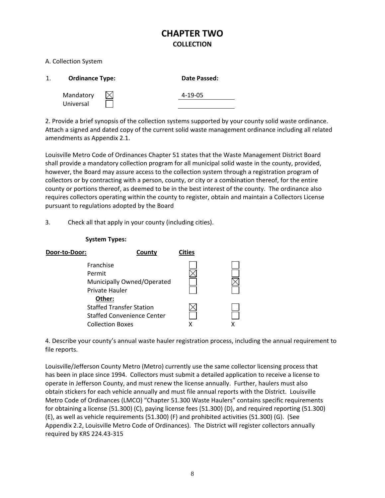## **CHAPTER TWO COLLECTION**

#### A. Collection System

|           | <b>Ordinance Type:</b> | Date Passed:  |
|-----------|------------------------|---------------|
| Mandatory |                        | $4 - 19 - 05$ |
| Universal |                        |               |

2. Provide a brief synopsis of the collection systems supported by your county solid waste ordinance. Attach a signed and dated copy of the current solid waste management ordinance including all related amendments as Appendix 2.1.

Louisville Metro Code of Ordinances Chapter 51 states that the Waste Management District Board shall provide a mandatory collection program for all municipal solid waste in the county, provided, however, the Board may assure access to the collection system through a registration program of collectors or by contracting with a person, county, or city or a combination thereof, for the entire county or portions thereof, as deemed to be in the best interest of the county. The ordinance also requires collectors operating within the county to register, obtain and maintain a Collectors License pursuant to regulations adopted by the Board

3. Check all that apply in your county (including cities).

| Door-to-Door: |                                   | County | <b>Cities</b> |  |
|---------------|-----------------------------------|--------|---------------|--|
|               | Franchise                         |        |               |  |
|               | Permit                            |        |               |  |
|               | Municipally Owned/Operated        |        |               |  |
|               | Private Hauler                    |        |               |  |
|               | Other:                            |        |               |  |
|               | <b>Staffed Transfer Station</b>   |        |               |  |
|               | <b>Staffed Convenience Center</b> |        |               |  |
|               | <b>Collection Boxes</b>           |        |               |  |
|               |                                   |        |               |  |

#### **System Types:**

4. Describe your county's annual waste hauler registration process, including the annual requirement to file reports.

Louisville/Jefferson County Metro (Metro) currently use the same collector licensing process that has been in place since 1994. Collectors must submit a detailed application to receive a license to operate in Jefferson County, and must renew the license annually. Further, haulers must also obtain stickers for each vehicle annually and must file annual reports with the District. Louisville Metro Code of Ordinances (LMCO) "Chapter 51.300 Waste Haulers" contains specific requirements for obtaining a license (51.300) (C), paying license fees (51.300) (D), and required reporting (51.300) (E), as well as vehicle requirements (51.300) (F) and prohibited activities (51.300) (G). (See Appendix 2.2, Louisville Metro Code of Ordinances). The District will register collectors annually required by KRS 224.43-315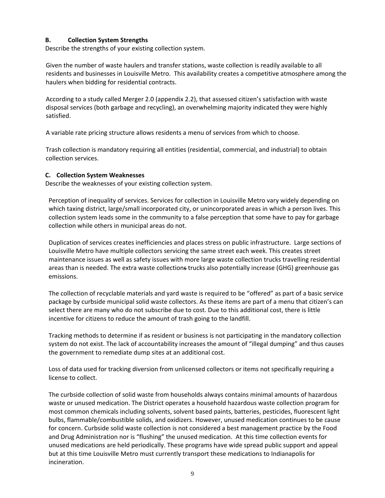#### **B. Collection System Strengths**

Describe the strengths of your existing collection system.

Given the number of waste haulers and transfer stations, waste collection is readily available to all residents and businesses in Louisville Metro. This availability creates a competitive atmosphere among the haulers when bidding for residential contracts.

According to a study called Merger 2.0 (appendix 2.2), that assessed citizen's satisfaction with waste disposal services (both garbage and recycling), an overwhelming majority indicated they were highly satisfied.

A variable rate pricing structure allows residents a menu of services from which to choose.

Trash collection is mandatory requiring all entities (residential, commercial, and industrial) to obtain collection services.

#### **C. Collection System Weaknesses**

Describe the weaknesses of your existing collection system.

Perception of inequality of services. Services for collection in Louisville Metro vary widely depending on which taxing district, large/small incorporated city, or unincorporated areas in which a person lives. This collection system leads some in the community to a false perception that some have to pay for garbage collection while others in municipal areas do not.

Duplication of services creates inefficiencies and places stress on public infrastructure. Large sections of Louisville Metro have multiple collectors servicing the same street each week. This creates street maintenance issues as well as safety issues with more large waste collection trucks travelling residential areas than is needed. The extra waste collections trucks also potentially increase (GHG) greenhouse gas emissions.

The collection of recyclable materials and yard waste is required to be "offered" as part of a basic service package by curbside municipal solid waste collectors. As these items are part of a menu that citizen's can select there are many who do not subscribe due to cost. Due to this additional cost, there is little incentive for citizens to reduce the amount of trash going to the landfill.

Tracking methods to determine if as resident or business is not participating in the mandatory collection system do not exist. The lack of accountability increases the amount of "illegal dumping" and thus causes the government to remediate dump sites at an additional cost.

Loss of data used for tracking diversion from unlicensed collectors or items not specifically requiring a license to collect.

The curbside collection of solid waste from households always contains minimal amounts of hazardous waste or unused medication. The District operates a household hazardous waste collection program for most common chemicals including solvents, solvent based paints, batteries, pesticides, fluorescent light bulbs, flammable/combustible solids, and oxidizers. However, unused medication continues to be cause for concern. Curbside solid waste collection is not considered a best management practice by the Food and Drug Administration nor is "flushing" the unused medication. At this time collection events for unused medications are held periodically. These programs have wide spread public support and appeal but at this time Louisville Metro must currently transport these medications to Indianapolis for incineration.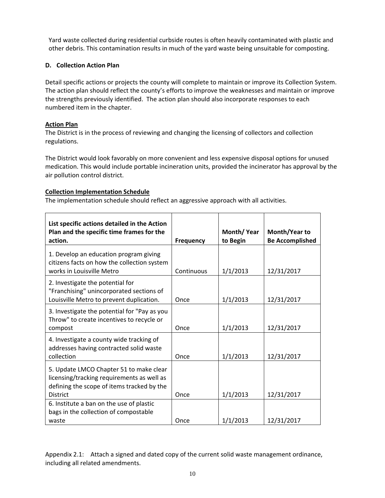Yard waste collected during residential curbside routes is often heavily contaminated with plastic and other debris. This contamination results in much of the yard waste being unsuitable for composting.

#### **D. Collection Action Plan**

Detail specific actions or projects the county will complete to maintain or improve its Collection System. The action plan should reflect the county's efforts to improve the weaknesses and maintain or improve the strengths previously identified. The action plan should also incorporate responses to each numbered item in the chapter.

#### **Action Plan**

The District is in the process of reviewing and changing the licensing of collectors and collection regulations.

The District would look favorably on more convenient and less expensive disposal options for unused medication. This would include portable incineration units, provided the incinerator has approval by the air pollution control district.

#### **Collection Implementation Schedule**

The implementation schedule should reflect an aggressive approach with all activities.

| List specific actions detailed in the Action<br>Plan and the specific time frames for the<br>action.                                                   | <b>Frequency</b> | Month/Year<br>to Begin | Month/Year to<br><b>Be Accomplished</b> |
|--------------------------------------------------------------------------------------------------------------------------------------------------------|------------------|------------------------|-----------------------------------------|
| 1. Develop an education program giving<br>citizens facts on how the collection system<br>works in Louisville Metro                                     | Continuous       | 1/1/2013               | 12/31/2017                              |
| 2. Investigate the potential for<br>"Franchising" unincorporated sections of<br>Louisville Metro to prevent duplication.                               | Once             | 1/1/2013               | 12/31/2017                              |
| 3. Investigate the potential for "Pay as you<br>Throw" to create incentives to recycle or<br>compost                                                   | Once             | 1/1/2013               | 12/31/2017                              |
| 4. Investigate a county wide tracking of<br>addresses having contracted solid waste<br>collection                                                      | Once             | 1/1/2013               | 12/31/2017                              |
| 5. Update LMCO Chapter 51 to make clear<br>licensing/tracking requirements as well as<br>defining the scope of items tracked by the<br><b>District</b> | Once             | 1/1/2013               | 12/31/2017                              |
| 6. Institute a ban on the use of plastic<br>bags in the collection of compostable<br>waste                                                             | Once             | 1/1/2013               | 12/31/2017                              |

Appendix 2.1: Attach a signed and dated copy of the current solid waste management ordinance, including all related amendments.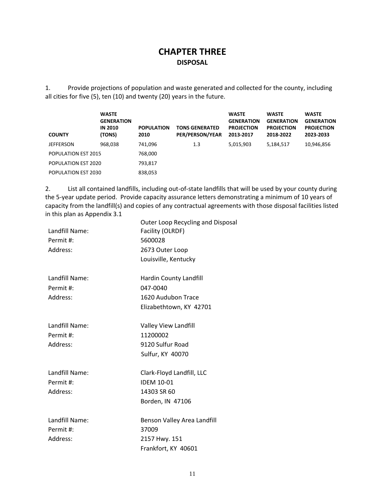## **CHAPTER THREE DISPOSAL**

1. Provide projections of population and waste generated and collected for the county, including all cities for five (5), ten (10) and twenty (20) years in the future.

| <b>COUNTY</b>       | <b>WASTE</b><br><b>GENERATION</b><br><b>IN 2010</b><br>(TONS) | <b>POPULATION</b><br>2010 | <b>TONS GENERATED</b><br>PER/PERSON/YEAR | <b>WASTE</b><br><b>GENERATION</b><br><b>PROJECTION</b><br>2013-2017 | <b>WASTE</b><br><b>GENERATION</b><br><b>PROJECTION</b><br>2018-2022 | <b>WASTE</b><br><b>GENERATION</b><br><b>PROJECTION</b><br>2023-2033 |
|---------------------|---------------------------------------------------------------|---------------------------|------------------------------------------|---------------------------------------------------------------------|---------------------------------------------------------------------|---------------------------------------------------------------------|
| JEFFERSON           | 968,038                                                       | 741,096                   | 1.3                                      | 5,015,903                                                           | 5,184,517                                                           | 10,946,856                                                          |
| POPULATION EST 2015 |                                                               | 768,000                   |                                          |                                                                     |                                                                     |                                                                     |
| POPULATION EST 2020 |                                                               | 793,817                   |                                          |                                                                     |                                                                     |                                                                     |
| POPULATION EST 2030 |                                                               | 838,053                   |                                          |                                                                     |                                                                     |                                                                     |

2. List all contained landfills, including out-of-state landfills that will be used by your county during the 5-year update period. Provide capacity assurance letters demonstrating a minimum of 10 years of capacity from the landfill(s) and copies of any contractual agreements with those disposal facilities listed in this plan as Appendix 3.1

| Landfill Name:<br>Permit #:<br>Address: | Outer Loop Recycling and Disposal<br>Facility (OLRDF)<br>5600028<br>2673 Outer Loop<br>Louisville, Kentucky |
|-----------------------------------------|-------------------------------------------------------------------------------------------------------------|
| Landfill Name:<br>Permit #:<br>Address: | Hardin County Landfill<br>047-0040<br>1620 Audubon Trace<br>Elizabethtown, KY 42701                         |
| Landfill Name:<br>Permit #:<br>Address: | Valley View Landfill<br>11200002<br>9120 Sulfur Road<br>Sulfur, KY 40070                                    |
| Landfill Name:<br>Permit #:<br>Address: | Clark-Floyd Landfill, LLC<br><b>IDEM 10-01</b><br>14303 SR 60<br>Borden, IN 47106                           |
| Landfill Name:<br>Permit #:<br>Address: | Benson Valley Area Landfill<br>37009<br>2157 Hwy. 151<br>Frankfort, KY 40601                                |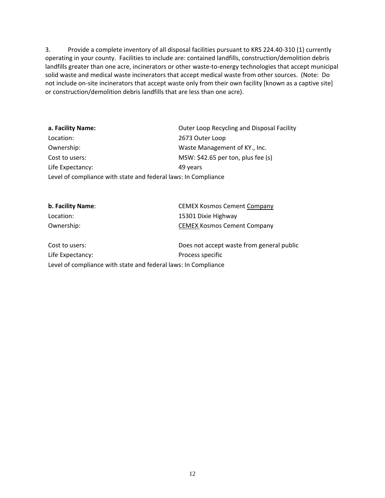3. Provide a complete inventory of all disposal facilities pursuant to KRS 224.40-310 (1) currently operating in your county. Facilities to include are: contained landfills, construction/demolition debris landfills greater than one acre, incinerators or other waste-to-energy technologies that accept municipal solid waste and medical waste incinerators that accept medical waste from other sources. (Note: Do not include on-site incinerators that accept waste only from their own facility [known as a captive site] or construction/demolition debris landfills that are less than one acre).

| a. Facility Name:                                              | Outer Loop Recycling and Disposal Facility |  |  |
|----------------------------------------------------------------|--------------------------------------------|--|--|
| Location:                                                      | 2673 Outer Loop                            |  |  |
| Ownership:                                                     | Waste Management of KY., Inc.              |  |  |
| Cost to users:                                                 | MSW: $$42.65$ per ton, plus fee (s)        |  |  |
| Life Expectancy:                                               | 49 years                                   |  |  |
| Level of compliance with state and federal laws: In Compliance |                                            |  |  |

| b. Facility Name: | <b>CEMEX Kosmos Cement Company</b> |
|-------------------|------------------------------------|
| Location:         | 15301 Dixie Highway                |
| Ownership:        | <b>CEMEX Kosmos Cement Company</b> |
|                   |                                    |

Cost to users: Does not accept waste from general public Life Expectancy: Process specific Level of compliance with state and federal laws: In Compliance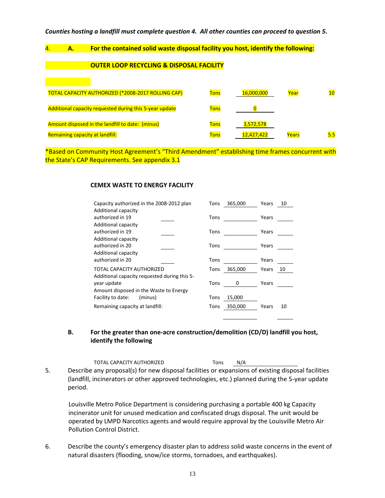#### *Counties hosting a landfill must complete question 4. All other counties can proceed to question 5.*

#### 4. **A. For the contained solid waste disposal facility you host, identify the following:**

#### **OUTER LOOP RECYCLING & DISPOSAL FACILITY**

| TOTAL CAPACITY AUTHORIZED (*2008-2017 ROLLING CAP)             | <b>Tons</b> | 16,000,000 | Year  | 10  |
|----------------------------------------------------------------|-------------|------------|-------|-----|
| <b>Additional capacity requested during this 5-year update</b> | <b>Tons</b> |            |       |     |
| Amount disposed in the landfill to date: (minus)               | <b>Tons</b> | 3,572,578  |       |     |
| Remaining capacity at landfill:                                | <b>Tons</b> | 12,427,422 | Years | 5.5 |

\*Based on Community Host Agreement's "Third Amendment" establishing time frames concurrent with the State's CAP Requirements. See appendix 3.1

#### **CEMEX WASTE TO ENERGY FACILITY**

| Capacity authorized in the 2008-2012 plan    | 365,000<br>Tons | Years<br>10 |
|----------------------------------------------|-----------------|-------------|
| <b>Additional capacity</b>                   |                 |             |
| authorized in 19                             | Tons            | Years       |
| <b>Additional capacity</b>                   |                 |             |
| authorized in 19                             | Tons            | Years       |
| <b>Additional capacity</b>                   |                 |             |
| authorized in 20                             | Tons            | Years       |
| <b>Additional capacity</b>                   |                 |             |
| authorized in 20                             | Tons            | Years       |
| TOTAL CAPACITY AUTHORIZED                    | 365,000<br>Tons | Years<br>10 |
| Additional capacity requested during this 5- |                 |             |
| year update                                  | Tons<br>0       | Years       |
| Amount disposed in the Waste to Energy       |                 |             |
| Facility to date:<br>(minus)                 | 15,000<br>Tons  |             |
| Remaining capacity at landfill:              | 350,000<br>Tons | Years<br>10 |
|                                              |                 |             |

#### **B. For the greater than one-acre construction/demolition (CD/D) landfill you host, identify the following**

|    | TOTAL CAPACITY AUTHORIZED                                                                          | Tons | N/A |
|----|----------------------------------------------------------------------------------------------------|------|-----|
| 5. | Describe any proposal(s) for new disposal facilities or expansions of existing disposal facilities |      |     |
|    | (landfill, incinerators or other approved technologies, etc.) planned during the 5-year update     |      |     |
|    | period.                                                                                            |      |     |

Louisville Metro Police Department is considering purchasing a portable 400 kg Capacity incinerator unit for unused medication and confiscated drugs disposal. The unit would be operated by LMPD Narcotics agents and would require approval by the Louisville Metro Air Pollution Control District.

6. Describe the county's emergency disaster plan to address solid waste concerns in the event of natural disasters (flooding, snow/ice storms, tornadoes, and earthquakes).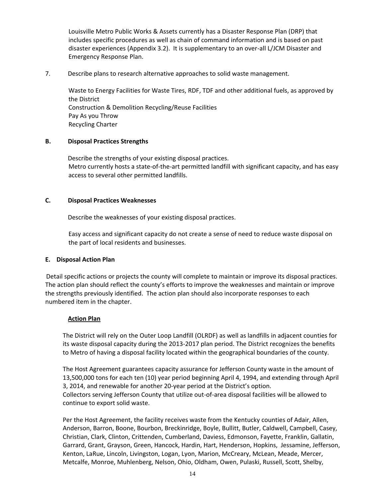Louisville Metro Public Works & Assets currently has a Disaster Response Plan (DRP) that includes specific procedures as well as chain of command information and is based on past disaster experiences (Appendix 3.2). It is supplementary to an over-all L/JCM Disaster and Emergency Response Plan.

7. Describe plans to research alternative approaches to solid waste management.

Waste to Energy Facilities for Waste Tires, RDF, TDF and other additional fuels, as approved by the District Construction & Demolition Recycling/Reuse Facilities Pay As you Throw Recycling Charter

#### **B. Disposal Practices Strengths**

Describe the strengths of your existing disposal practices. Metro currently hosts a state-of-the-art permitted landfill with significant capacity, and has easy access to several other permitted landfills.

#### **C. Disposal Practices Weaknesses**

Describe the weaknesses of your existing disposal practices.

Easy access and significant capacity do not create a sense of need to reduce waste disposal on the part of local residents and businesses.

#### **E. Disposal Action Plan**

Detail specific actions or projects the county will complete to maintain or improve its disposal practices. The action plan should reflect the county's efforts to improve the weaknesses and maintain or improve the strengths previously identified. The action plan should also incorporate responses to each numbered item in the chapter.

#### **Action Plan**

The District will rely on the Outer Loop Landfill (OLRDF) as well as landfills in adjacent counties for its waste disposal capacity during the 2013-2017 plan period. The District recognizes the benefits to Metro of having a disposal facility located within the geographical boundaries of the county.

The Host Agreement guarantees capacity assurance for Jefferson County waste in the amount of 13,500,000 tons for each ten (10) year period beginning April 4, 1994, and extending through April 3, 2014, and renewable for another 20-year period at the District's option. Collectors serving Jefferson County that utilize out-of-area disposal facilities will be allowed to continue to export solid waste.

Per the Host Agreement, the facility receives waste from the Kentucky counties of Adair, Allen, Anderson, Barron, Boone, Bourbon, Breckinridge, Boyle, Bullitt, Butler, Caldwell, Campbell, Casey, Christian, Clark, Clinton, Crittenden, Cumberland, Daviess, Edmonson, Fayette, Franklin, Gallatin, Garrard, Grant, Grayson, Green, Hancock, Hardin, Hart, Henderson, Hopkins, Jessamine, Jefferson, Kenton, LaRue, Lincoln, Livingston, Logan, Lyon, Marion, McCreary, McLean, Meade, Mercer, Metcalfe, Monroe, Muhlenberg, Nelson, Ohio, Oldham, Owen, Pulaski, Russell, Scott, Shelby,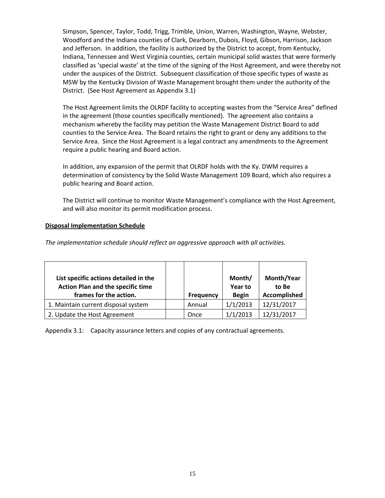Simpson, Spencer, Taylor, Todd, Trigg, Trimble, Union, Warren, Washington, Wayne, Webster, Woodford and the Indiana counties of Clark, Dearborn, Dubois, Floyd, Gibson, Harrison, Jackson and Jefferson. In addition, the facility is authorized by the District to accept, from Kentucky, Indiana, Tennessee and West Virginia counties, certain municipal solid wastes that were formerly classified as 'special waste' at the time of the signing of the Host Agreement, and were thereby not under the auspices of the District. Subsequent classification of those specific types of waste as MSW by the Kentucky Division of Waste Management brought them under the authority of the District. (See Host Agreement as Appendix 3.1)

The Host Agreement limits the OLRDF facility to accepting wastes from the "Service Area" defined in the agreement (those counties specifically mentioned). The agreement also contains a mechanism whereby the facility may petition the Waste Management District Board to add counties to the Service Area. The Board retains the right to grant or deny any additions to the Service Area. Since the Host Agreement is a legal contract any amendments to the Agreement require a public hearing and Board action.

In addition, any expansion of the permit that OLRDF holds with the Ky. DWM requires a determination of consistency by the Solid Waste Management 109 Board, which also requires a public hearing and Board action.

The District will continue to monitor Waste Management's compliance with the Host Agreement, and will also monitor its permit modification process.

#### **Disposal Implementation Schedule**

*The implementation schedule should reflect an aggressive approach with all activities.*

| List specific actions detailed in the<br>Action Plan and the specific time<br>frames for the action. |                  | Month/<br>Year to | Month/Year<br>to Be |
|------------------------------------------------------------------------------------------------------|------------------|-------------------|---------------------|
|                                                                                                      | <b>Frequency</b> | <b>Begin</b>      | Accomplished        |
| 1. Maintain current disposal system                                                                  | Annual           | 1/1/2013          | 12/31/2017          |
| 2. Update the Host Agreement                                                                         | Once             | 1/1/2013          | 12/31/2017          |

Appendix 3.1: Capacity assurance letters and copies of any contractual agreements.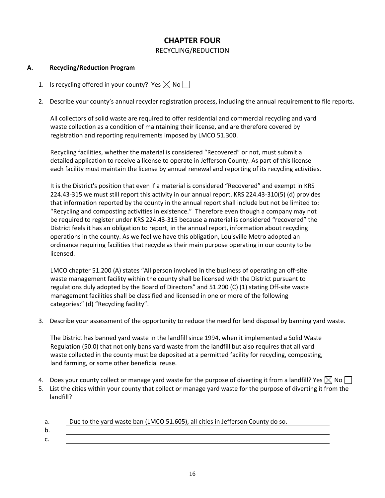## **CHAPTER FOUR**

RECYCLING/REDUCTION

#### **A. Recycling/Reduction Program**

- 1. Is recycling offered in your county? Yes  $\boxtimes$  No  $\Box$
- 2. Describe your county's annual recycler registration process, including the annual requirement to file reports.

All collectors of solid waste are required to offer residential and commercial recycling and yard waste collection as a condition of maintaining their license, and are therefore covered by registration and reporting requirements imposed by LMCO 51.300.

Recycling facilities, whether the material is considered "Recovered" or not, must submit a detailed application to receive a license to operate in Jefferson County. As part of this license each facility must maintain the license by annual renewal and reporting of its recycling activities.

It is the District's position that even if a material is considered "Recovered" and exempt in KRS 224.43-315 we must still report this activity in our annual report. KRS 224.43-310(5) (d) provides that information reported by the county in the annual report shall include but not be limited to: "Recycling and composting activities in existence." Therefore even though a company may not be required to register under KRS 224.43-315 because a material is considered "recovered" the District feels it has an obligation to report, in the annual report, information about recycling operations in the county. As we feel we have this obligation, Louisville Metro adopted an ordinance requiring facilities that recycle as their main purpose operating in our county to be licensed.

LMCO chapter 51.200 (A) states "All person involved in the business of operating an off-site waste management facility within the county shall be licensed with the District pursuant to regulations duly adopted by the Board of Directors" and 51.200 (C) (1) stating Off-site waste management facilities shall be classified and licensed in one or more of the following categories:" (d) "Recycling facility".

3. Describe your assessment of the opportunity to reduce the need for land disposal by banning yard waste.

The District has banned yard waste in the landfill since 1994, when it implemented a Solid Waste Regulation (50.0) that not only bans yard waste from the landfill but also requires that all yard waste collected in the county must be deposited at a permitted facility for recycling, composting, land farming, or some other beneficial reuse.

- 4. Does your county collect or manage yard waste for the purpose of diverting it from a landfill? Yes  $\boxtimes$  No  $\Box$
- 5. List the cities within your county that collect or manage yard waste for the purpose of diverting it from the landfill?

| а. | Due to the yard waste ban (LMCO 51.605), all cities in Jefferson County do so. |
|----|--------------------------------------------------------------------------------|
|    |                                                                                |
|    |                                                                                |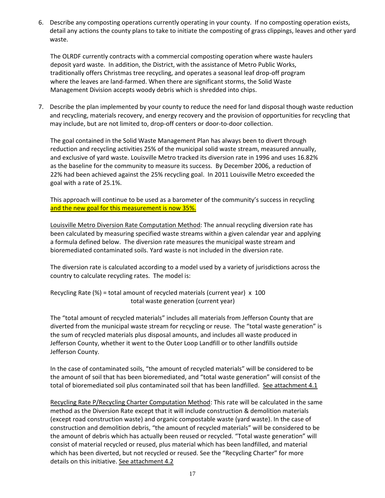6. Describe any composting operations currently operating in your county. If no composting operation exists, detail any actions the county plans to take to initiate the composting of grass clippings, leaves and other yard waste.

The OLRDF currently contracts with a commercial composting operation where waste haulers deposit yard waste. In addition, the District, with the assistance of Metro Public Works, traditionally offers Christmas tree recycling, and operates a seasonal leaf drop-off program where the leaves are land-farmed. When there are significant storms, the Solid Waste Management Division accepts woody debris which is shredded into chips.

7. Describe the plan implemented by your county to reduce the need for land disposal though waste reduction and recycling, materials recovery, and energy recovery and the provision of opportunities for recycling that may include, but are not limited to, drop-off centers or door-to-door collection.

The goal contained in the Solid Waste Management Plan has always been to divert through reduction and recycling activities 25% of the municipal solid waste stream, measured annually, and exclusive of yard waste. Louisville Metro tracked its diversion rate in 1996 and uses 16.82% as the baseline for the community to measure its success. By December 2006, a reduction of 22% had been achieved against the 25% recycling goal. In 2011 Louisville Metro exceeded the goal with a rate of 25.1%.

This approach will continue to be used as a barometer of the community's success in recycling and the new goal for this measurement is now 35%.

Louisville Metro Diversion Rate Computation Method: The annual recycling diversion rate has been calculated by measuring specified waste streams within a given calendar year and applying a formula defined below. The diversion rate measures the municipal waste stream and bioremediated contaminated soils. Yard waste is not included in the diversion rate.

The diversion rate is calculated according to a model used by a variety of jurisdictions across the country to calculate recycling rates. The model is:

Recycling Rate (%) = total amount of recycled materials (current year) x 100 total waste generation (current year)

The "total amount of recycled materials" includes all materials from Jefferson County that are diverted from the municipal waste stream for recycling or reuse. The "total waste generation" is the sum of recycled materials plus disposal amounts, and includes all waste produced in Jefferson County, whether it went to the Outer Loop Landfill or to other landfills outside Jefferson County.

In the case of contaminated soils, "the amount of recycled materials" will be considered to be the amount of soil that has been bioremediated, and "total waste generation" will consist of the total of bioremediated soil plus contaminated soil that has been landfilled. See attachment 4.1

Recycling Rate P/Recycling Charter Computation Method: This rate will be calculated in the same method as the Diversion Rate except that it will include construction & demolition materials (except road construction waste) and organic compostable waste (yard waste). In the case of construction and demolition debris, "the amount of recycled materials" will be considered to be the amount of debris which has actually been reused or recycled. "Total waste generation" will consist of material recycled or reused, plus material which has been landfilled, and material which has been diverted, but not recycled or reused. See the "Recycling Charter" for more details on this initiative. See attachment 4.2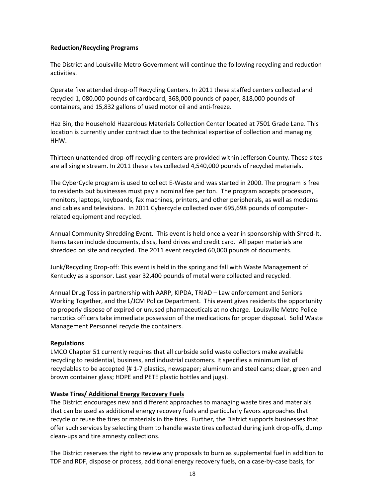#### **Reduction/Recycling Programs**

The District and Louisville Metro Government will continue the following recycling and reduction activities.

Operate five attended drop-off Recycling Centers. In 2011 these staffed centers collected and recycled 1, 080,000 pounds of cardboard, 368,000 pounds of paper, 818,000 pounds of containers, and 15,832 gallons of used motor oil and anti-freeze.

Haz Bin, the Household Hazardous Materials Collection Center located at 7501 Grade Lane. This location is currently under contract due to the technical expertise of collection and managing HHW.

Thirteen unattended drop-off recycling centers are provided within Jefferson County. These sites are all single stream. In 2011 these sites collected 4,540,000 pounds of recycled materials.

The CyberCycle program is used to collect E-Waste and was started in 2000. The program is free to residents but businesses must pay a nominal fee per ton. The program accepts processors, monitors, laptops, keyboards, fax machines, printers, and other peripherals, as well as modems and cables and televisions. In 2011 Cybercycle collected over 695,698 pounds of computerrelated equipment and recycled.

Annual Community Shredding Event. This event is held once a year in sponsorship with Shred-It. Items taken include documents, discs, hard drives and credit card. All paper materials are shredded on site and recycled. The 2011 event recycled 60,000 pounds of documents.

Junk/Recycling Drop-off: This event is held in the spring and fall with Waste Management of Kentucky as a sponsor. Last year 32,400 pounds of metal were collected and recycled.

Annual Drug Toss in partnership with AARP, KIPDA, TRIAD – Law enforcement and Seniors Working Together, and the L/JCM Police Department. This event gives residents the opportunity to properly dispose of expired or unused pharmaceuticals at no charge. Louisville Metro Police narcotics officers take immediate possession of the medications for proper disposal. Solid Waste Management Personnel recycle the containers.

#### **Regulations**

LMCO Chapter 51 currently requires that all curbside solid waste collectors make available recycling to residential, business, and industrial customers. It specifies a minimum list of recyclables to be accepted (# 1-7 plastics, newspaper; aluminum and steel cans; clear, green and brown container glass; HDPE and PETE plastic bottles and jugs).

#### **Waste Tires/ Additional Energy Recovery Fuels**

The District encourages new and different approaches to managing waste tires and materials that can be used as additional energy recovery fuels and particularly favors approaches that recycle or reuse the tires or materials in the tires. Further, the District supports businesses that offer such services by selecting them to handle waste tires collected during junk drop-offs, dump clean-ups and tire amnesty collections.

The District reserves the right to review any proposals to burn as supplemental fuel in addition to TDF and RDF, dispose or process, additional energy recovery fuels, on a case-by-case basis, for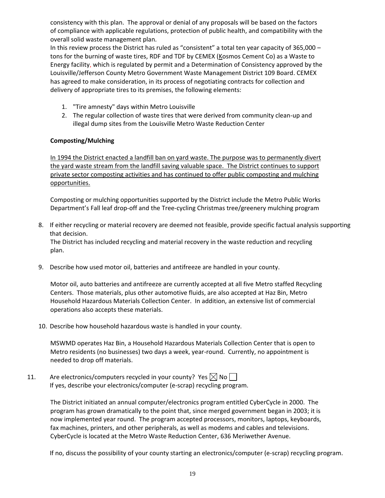consistency with this plan. The approval or denial of any proposals will be based on the factors of compliance with applicable regulations, protection of public health, and compatibility with the overall solid waste management plan.

In this review process the District has ruled as "consistent" a total ten year capacity of 365,000 – tons for the burning of waste tires, RDF and TDF by CEMEX (Kosmos Cement Co) as a Waste to Energy facility, which is regulated by permit and a Determination of Consistency approved by the Louisville/Jefferson County Metro Government Waste Management District 109 Board. CEMEX has agreed to make consideration, in its process of negotiating contracts for collection and delivery of appropriate tires to its premises, the following elements:

- 1. "Tire amnesty" days within Metro Louisville
- 2. The regular collection of waste tires that were derived from community clean-up and illegal dump sites from the Louisville Metro Waste Reduction Center

#### **Composting/Mulching**

In 1994 the District enacted a landfill ban on yard waste. The purpose was to permanently divert the yard waste stream from the landfill saving valuable space. The District continues to support private sector composting activities and has continued to offer public composting and mulching opportunities.

Composting or mulching opportunities supported by the District include the Metro Public Works Department's Fall leaf drop-off and the Tree-cycling Christmas tree/greenery mulching program

8. If either recycling or material recovery are deemed not feasible, provide specific factual analysis supporting that decision.

The District has included recycling and material recovery in the waste reduction and recycling plan.

9. Describe how used motor oil, batteries and antifreeze are handled in your county.

Motor oil, auto batteries and antifreeze are currently accepted at all five Metro staffed Recycling Centers. Those materials, plus other automotive fluids, are also accepted at Haz Bin, Metro Household Hazardous Materials Collection Center. In addition, an extensive list of commercial operations also accepts these materials.

10. Describe how household hazardous waste is handled in your county.

MSWMD operates Haz Bin, a Household Hazardous Materials Collection Center that is open to Metro residents (no businesses) two days a week, year-round. Currently, no appointment is needed to drop off materials.

11. Are electronics/computers recycled in your county? Yes  $\boxtimes$  No  $\Box$ If yes, describe your electronics/computer (e-scrap) recycling program.

> The District initiated an annual computer/electronics program entitled CyberCycle in 2000. The program has grown dramatically to the point that, since merged government began in 2003; it is now implemented year round. The program accepted processors, monitors, laptops, keyboards, fax machines, printers, and other peripherals, as well as modems and cables and televisions. CyberCycle is located at the Metro Waste Reduction Center, 636 Meriwether Avenue.

If no, discuss the possibility of your county starting an electronics/computer (e-scrap) recycling program.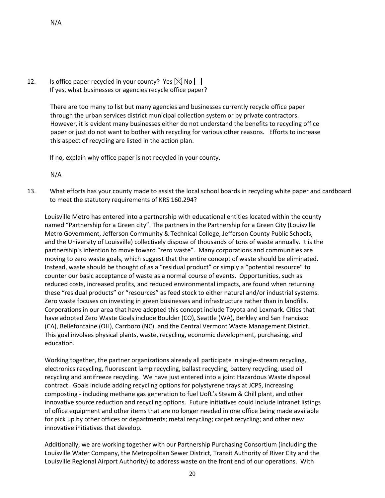12. Is office paper recycled in your county? Yes  $\boxtimes$  No  $\Box$ If yes, what businesses or agencies recycle office paper?

> There are too many to list but many agencies and businesses currently recycle office paper through the urban services district municipal collection system or by private contractors. However, it is evident many businesses either do not understand the benefits to recycling office paper or just do not want to bother with recycling for various other reasons. Efforts to increase this aspect of recycling are listed in the action plan.

If no, explain why office paper is not recycled in your county.

N/A

13. What efforts has your county made to assist the local school boards in recycling white paper and cardboard to meet the statutory requirements of KRS 160.294?

Louisville Metro has entered into a partnership with educational entities located within the county named "Partnership for a Green city". The partners in the Partnership for a Green City (Louisville Metro Government, Jefferson Community & Technical College, Jefferson County Public Schools, and the University of Louisville) collectively dispose of thousands of tons of waste annually. It is the partnership's intention to move toward "zero waste". Many corporations and communities are moving to zero waste goals, which suggest that the entire concept of waste should be eliminated. Instead, waste should be thought of as a "residual product" or simply a "potential resource" to counter our basic acceptance of waste as a normal course of events. Opportunities, such as reduced costs, increased profits, and reduced environmental impacts, are found when returning these "residual products" or "resources" as feed stock to either natural and/or industrial systems. Zero waste focuses on investing in green businesses and infrastructure rather than in landfills. Corporations in our area that have adopted this concept include Toyota and Lexmark. Cities that have adopted Zero Waste Goals include Boulder (CO), Seattle (WA), Berkley and San Francisco (CA), Bellefontaine (OH), Carrboro (NC), and the Central Vermont Waste Management District. This goal involves physical plants, waste, recycling, economic development, purchasing, and education.

Working together, the partner organizations already all participate in single-stream recycling, electronics recycling, fluorescent lamp recycling, ballast recycling, battery recycling, used oil recycling and antifreeze recycling. We have just entered into a joint Hazardous Waste disposal contract. Goals include adding recycling options for polystyrene trays at JCPS, increasing composting - including methane gas generation to fuel UofL's Steam & Chill plant, and other innovative source reduction and recycling options. Future initiatives could include intranet listings of office equipment and other items that are no longer needed in one office being made available for pick up by other offices or departments; metal recycling; carpet recycling; and other new innovative initiatives that develop.

Additionally, we are working together with our Partnership Purchasing Consortium (including the Louisville Water Company, the Metropolitan Sewer District, Transit Authority of River City and the Louisville Regional Airport Authority) to address waste on the front end of our operations. With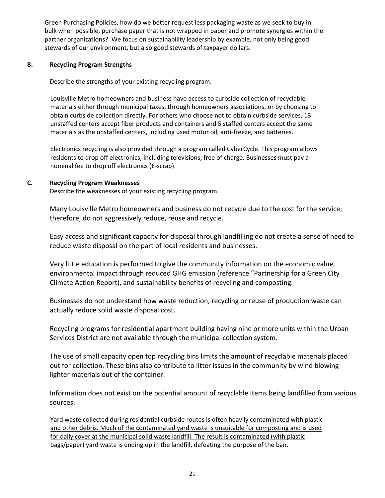Green Purchasing Policies, how do we better request less packaging waste as we seek to buy in bulk when possible, purchase paper that is not wrapped in paper and promote synergies within the partner organizations? We focus on sustainability leadership by example, not only being good stewards of our environment, but also good stewards of taxpayer dollars.

#### **B. Recycling Program Strengths**

Describe the strengths of your existing recycling program.

Louisville Metro homeowners and business have access to curbside collection of recyclable materials either through municipal taxes, through homeowners associations, or by choosing to obtain curbside collection directly. For others who choose not to obtain curbside services, 13 unstaffed centers accept fiber products and containers and 5 staffed centers accept the same materials as the unstaffed centers, including used motor oil, anti-freeze, and batteries.

Electronics recycling is also provided through a program called CyberCycle. This program allows residents to drop off electronics, including televisions, free of charge. Businesses must pay a nominal fee to drop off electronics (E-scrap).

#### **C. Recycling Program Weaknesses**

Describe the weaknesses of your existing recycling program.

Many Louisville Metro homeowners and business do not recycle due to the cost for the service; therefore, do not aggressively reduce, reuse and recycle.

Easy access and significant capacity for disposal through landfilling do not create a sense of need to reduce waste disposal on the part of local residents and businesses.

Very little education is performed to give the community information on the economic value, environmental impact through reduced GHG emission (reference "Partnership for a Green City Climate Action Report), and sustainability benefits of recycling and composting.

Businesses do not understand how waste reduction, recycling or reuse of production waste can actually reduce solid waste disposal cost.

Recycling programs for residential apartment building having nine or more units within the Urban Services District are not available through the municipal collection system.

The use of small capacity open top recycling bins limits the amount of recyclable materials placed out for collection. These bins also contribute to litter issues in the community by wind blowing lighter materials out of the container.

Information does not exist on the potential amount of recyclable items being landfilled from various sources.

Yard waste collected during residential curbside routes is often heavily contaminated with plastic and other debris. Much of the contaminated yard waste is unsuitable for composting and is used for daily cover at the municipal solid waste landfill. The result is contaminated (with plastic bags/paper) yard waste is ending up in the landfill, defeating the purpose of the ban.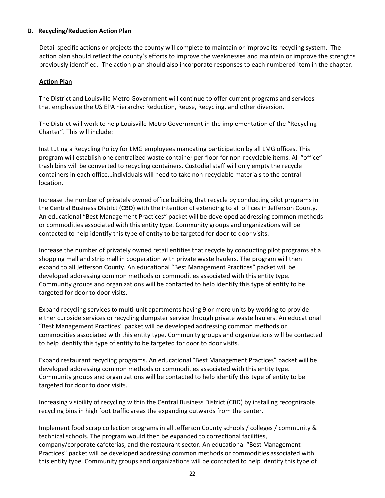#### **D. Recycling/Reduction Action Plan**

Detail specific actions or projects the county will complete to maintain or improve its recycling system. The action plan should reflect the county's efforts to improve the weaknesses and maintain or improve the strengths previously identified. The action plan should also incorporate responses to each numbered item in the chapter.

#### **Action Plan**

The District and Louisville Metro Government will continue to offer current programs and services that emphasize the US EPA hierarchy: Reduction, Reuse, Recycling, and other diversion.

The District will work to help Louisville Metro Government in the implementation of the "Recycling Charter". This will include:

Instituting a Recycling Policy for LMG employees mandating participation by all LMG offices. This program will establish one centralized waste container per floor for non-recyclable items. All "office" trash bins will be converted to recycling containers. Custodial staff will only empty the recycle containers in each office…individuals will need to take non-recyclable materials to the central location.

Increase the number of privately owned office building that recycle by conducting pilot programs in the Central Business District (CBD) with the intention of extending to all offices in Jefferson County. An educational "Best Management Practices" packet will be developed addressing common methods or commodities associated with this entity type. Community groups and organizations will be contacted to help identify this type of entity to be targeted for door to door visits.

Increase the number of privately owned retail entities that recycle by conducting pilot programs at a shopping mall and strip mall in cooperation with private waste haulers. The program will then expand to all Jefferson County. An educational "Best Management Practices" packet will be developed addressing common methods or commodities associated with this entity type. Community groups and organizations will be contacted to help identify this type of entity to be targeted for door to door visits.

Expand recycling services to multi-unit apartments having 9 or more units by working to provide either curbside services or recycling dumpster service through private waste haulers. An educational "Best Management Practices" packet will be developed addressing common methods or commodities associated with this entity type. Community groups and organizations will be contacted to help identify this type of entity to be targeted for door to door visits.

Expand restaurant recycling programs. An educational "Best Management Practices" packet will be developed addressing common methods or commodities associated with this entity type. Community groups and organizations will be contacted to help identify this type of entity to be targeted for door to door visits.

Increasing visibility of recycling within the Central Business District (CBD) by installing recognizable recycling bins in high foot traffic areas the expanding outwards from the center.

Implement food scrap collection programs in all Jefferson County schools / colleges / community & technical schools. The program would then be expanded to correctional facilities, company/corporate cafeterias, and the restaurant sector. An educational "Best Management Practices" packet will be developed addressing common methods or commodities associated with this entity type. Community groups and organizations will be contacted to help identify this type of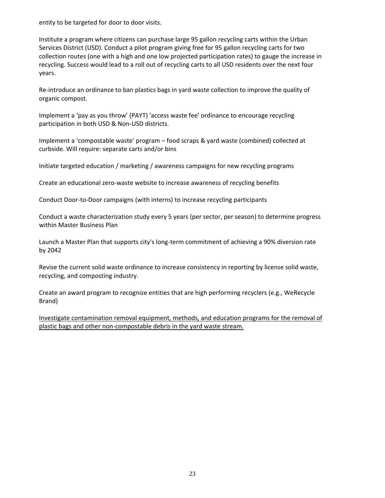entity to be targeted for door to door visits.

Institute a program where citizens can purchase large 95 gallon recycling carts within the Urban Services District (USD). Conduct a pilot program giving free for 95 gallon recycling carts for two collection routes (one with a high and one low projected participation rates) to gauge the increase in recycling. Success would lead to a roll out of recycling carts to all USD residents over the next four years.

Re-introduce an ordinance to ban plastics bags in yard waste collection to improve the quality of organic compost.

Implement a 'pay as you throw' (PAYT) 'access waste fee' ordinance to encourage recycling participation in both USD & Non-USD districts.

Implement a 'compostable waste' program – food scraps & yard waste (combined) collected at curbside. Will require: separate carts and/or bins

Initiate targeted education / marketing / awareness campaigns for new recycling programs

Create an educational zero-waste website to increase awareness of recycling benefits

Conduct Door-to-Door campaigns (with interns) to increase recycling participants

Conduct a waste characterization study every 5 years (per sector, per season) to determine progress within Master Business Plan

Launch a Master Plan that supports city's long-term commitment of achieving a 90% diversion rate by 2042

Revise the current solid waste ordinance to increase consistency in reporting by license solid waste, recycling, and composting industry.

Create an award program to recognize entities that are high performing recyclers (e.g., WeRecycle Brand)

Investigate contamination removal equipment, methods, and education programs for the removal of plastic bags and other non-compostable debris in the yard waste stream.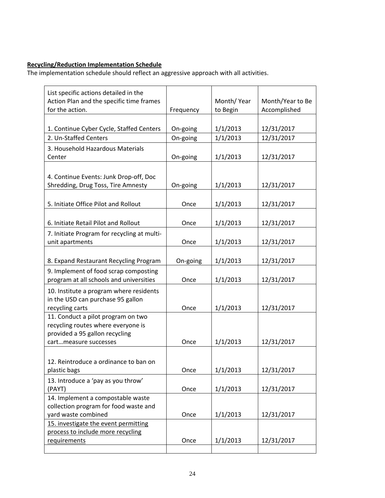### **Recycling/Reduction Implementation Schedule**

| List specific actions detailed in the                                |           |            |                  |
|----------------------------------------------------------------------|-----------|------------|------------------|
| Action Plan and the specific time frames                             |           | Month/Year | Month/Year to Be |
| for the action.                                                      | Frequency | to Begin   | Accomplished     |
|                                                                      |           |            |                  |
| 1. Continue Cyber Cycle, Staffed Centers                             | On-going  | 1/1/2013   | 12/31/2017       |
| 2. Un-Staffed Centers                                                | On-going  | 1/1/2013   | 12/31/2017       |
| 3. Household Hazardous Materials                                     |           |            |                  |
| Center                                                               | On-going  | 1/1/2013   | 12/31/2017       |
|                                                                      |           |            |                  |
| 4. Continue Events: Junk Drop-off, Doc                               |           |            |                  |
| Shredding, Drug Toss, Tire Amnesty                                   | On-going  | 1/1/2013   | 12/31/2017       |
|                                                                      |           |            |                  |
| 5. Initiate Office Pilot and Rollout                                 | Once      | 1/1/2013   | 12/31/2017       |
|                                                                      |           |            |                  |
| 6. Initiate Retail Pilot and Rollout                                 | Once      | 1/1/2013   | 12/31/2017       |
| 7. Initiate Program for recycling at multi-                          |           |            |                  |
| unit apartments                                                      | Once      | 1/1/2013   | 12/31/2017       |
|                                                                      |           |            |                  |
| 8. Expand Restaurant Recycling Program                               | On-going  | 1/1/2013   | 12/31/2017       |
| 9. Implement of food scrap composting                                |           |            |                  |
| program at all schools and universities                              | Once      | 1/1/2013   | 12/31/2017       |
| 10. Institute a program where residents                              |           |            |                  |
| in the USD can purchase 95 gallon                                    |           |            |                  |
| recycling carts                                                      | Once      | 1/1/2013   | 12/31/2017       |
| 11. Conduct a pilot program on two                                   |           |            |                  |
| recycling routes where everyone is<br>provided a 95 gallon recycling |           |            |                  |
| cartmeasure successes                                                | Once      | 1/1/2013   | 12/31/2017       |
|                                                                      |           |            |                  |
| 12. Reintroduce a ordinance to ban on                                |           |            |                  |
| plastic bags                                                         | Once      | 1/1/2013   | 12/31/2017       |
| 13. Introduce a 'pay as you throw'                                   |           |            |                  |
| (PAYT)                                                               | Once      | 1/1/2013   | 12/31/2017       |
| 14. Implement a compostable waste                                    |           |            |                  |
| collection program for food waste and                                |           |            |                  |
| yard waste combined                                                  | Once      | 1/1/2013   | 12/31/2017       |
| 15. investigate the event permitting                                 |           |            |                  |
| process to include more recycling                                    |           |            |                  |
| requirements                                                         | Once      | 1/1/2013   | 12/31/2017       |
|                                                                      |           |            |                  |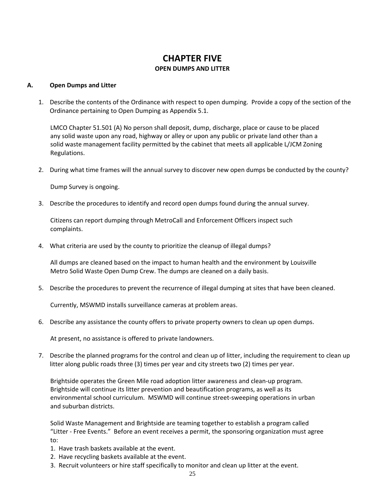## **CHAPTER FIVE OPEN DUMPS AND LITTER**

#### **A. Open Dumps and Litter**

1. Describe the contents of the Ordinance with respect to open dumping. Provide a copy of the section of the Ordinance pertaining to Open Dumping as Appendix 5.1.

LMCO Chapter 51.501 (A) No person shall deposit, dump, discharge, place or cause to be placed any solid waste upon any road, highway or alley or upon any public or private land other than a solid waste management facility permitted by the cabinet that meets all applicable L/JCM Zoning Regulations.

2. During what time frames will the annual survey to discover new open dumps be conducted by the county?

Dump Survey is ongoing.

3. Describe the procedures to identify and record open dumps found during the annual survey.

Citizens can report dumping through MetroCall and Enforcement Officers inspect such complaints.

4. What criteria are used by the county to prioritize the cleanup of illegal dumps?

All dumps are cleaned based on the impact to human health and the environment by Louisville Metro Solid Waste Open Dump Crew. The dumps are cleaned on a daily basis.

5. Describe the procedures to prevent the recurrence of illegal dumping at sites that have been cleaned.

Currently, MSWMD installs surveillance cameras at problem areas.

6. Describe any assistance the county offers to private property owners to clean up open dumps.

At present, no assistance is offered to private landowners.

7. Describe the planned programs for the control and clean up of litter, including the requirement to clean up litter along public roads three (3) times per year and city streets two (2) times per year.

Brightside operates the Green Mile road adoption litter awareness and clean-up program. Brightside will continue its litter prevention and beautification programs, as well as its environmental school curriculum. MSWMD will continue street-sweeping operations in urban and suburban districts.

Solid Waste Management and Brightside are teaming together to establish a program called "Litter - Free Events." Before an event receives a permit, the sponsoring organization must agree to:

- 1. Have trash baskets available at the event.
- 2. Have recycling baskets available at the event.
- 3. Recruit volunteers or hire staff specifically to monitor and clean up litter at the event.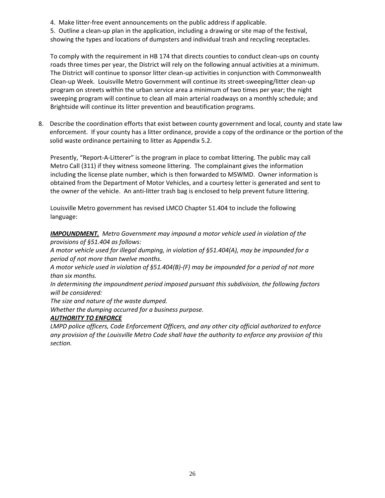- 4. Make litter-free event announcements on the public address if applicable.
- 5. Outline a clean-up plan in the application, including a drawing or site map of the festival,
- showing the types and locations of dumpsters and individual trash and recycling receptacles.

To comply with the requirement in HB 174 that directs counties to conduct clean-ups on county roads three times per year, the District will rely on the following annual activities at a minimum. The District will continue to sponsor litter clean-up activities in conjunction with Commonwealth Clean-up Week. Louisville Metro Government will continue its street-sweeping/litter clean-up program on streets within the urban service area a minimum of two times per year; the night sweeping program will continue to clean all main arterial roadways on a monthly schedule; and Brightside will continue its litter prevention and beautification programs.

8. Describe the coordination efforts that exist between county government and local, county and state law enforcement. If your county has a litter ordinance, provide a copy of the ordinance or the portion of the solid waste ordinance pertaining to litter as Appendix 5.2.

Presently, "Report-A-Litterer" is the program in place to combat littering. The public may call Metro Call (311) if they witness someone littering. The complainant gives the information including the license plate number, which is then forwarded to MSWMD. Owner information is obtained from the Department of Motor Vehicles, and a courtesy letter is generated and sent to the owner of the vehicle. An anti-litter trash bag is enclosed to help prevent future littering.

Louisville Metro government has revised LMCO Chapter 51.404 to include the following language:

*IMPOUNDMENT. Metro Government may impound a motor vehicle used in violation of the provisions of §51.404 as follows:*

*A motor vehicle used for illegal dumping, in violation of §51.404(A), may be impounded for a period of not more than twelve months.* 

*A motor vehicle used in violation of §51.404(B)-(F) may be impounded for a period of not more than six months.*

*In determining the impoundment period imposed pursuant this subdivision, the following factors will be considered:*

*The size and nature of the waste dumped.* 

*Whether the dumping occurred for a business purpose.* 

#### *AUTHORITY TO ENFORCE*

*LMPD police officers, Code Enforcement Officers, and any other city official authorized to enforce any provision of the Louisville Metro Code shall have the authority to enforce any provision of this section.*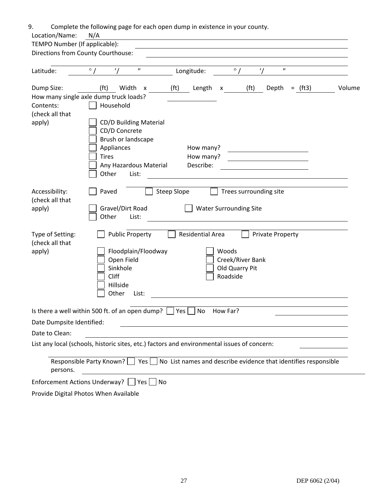| 9.<br>Location/Name:                          | Complete the following page for each open dump in existence in your county.<br>N/A                                                                                                                                       |
|-----------------------------------------------|--------------------------------------------------------------------------------------------------------------------------------------------------------------------------------------------------------------------------|
| TEMPO Number (If applicable):                 |                                                                                                                                                                                                                          |
| Directions from County Courthouse:            |                                                                                                                                                                                                                          |
| Latitude:                                     | $\pmb{\mathcal{H}}$<br>$^{\prime\prime}$<br>$\circ$ /<br>$\circ$ /<br>Longitude:                                                                                                                                         |
| Dump Size:<br>Contents:                       | (f <sub>t</sub> )<br>Width x<br>(f <sup>t</sup> )<br>(f <sup>t</sup> )<br>Depth<br>Volume<br>Length x<br>$=$ (ft3)<br>How many single axle dump truck loads?<br>Household                                                |
| (check all that<br>apply)                     | CD/D Building Material<br>CD/D Concrete<br>Brush or landscape<br>Appliances<br>How many?<br><b>Tires</b><br>How many?<br>Describe:<br>Any Hazardous Material<br>Other<br>List:                                           |
| Accessibility:<br>(check all that<br>apply)   | Paved<br>Steep Slope<br>Trees surrounding site<br>Gravel/Dirt Road<br><b>Water Surrounding Site</b><br>Other<br>List:                                                                                                    |
| Type of Setting:<br>(check all that<br>apply) | <b>Public Property</b><br>Residential Area<br><b>Private Property</b><br>Woods<br>Floodplain/Floodway<br>Open Field<br>Creek/River Bank<br>Sinkhole<br>Old Quarry Pit<br>Cliff<br>Roadside<br>Hillside<br>Other<br>List: |
| Date Dumpsite Identified:<br>Date to Clean:   | Is there a well within 500 ft. of an open dump? $\Box$ Yes $\Box$ No<br>How Far?<br>List any local (schools, historic sites, etc.) factors and environmental issues of concern:                                          |
| persons.                                      | Responsible Party Known? $\vert \vert$ Yes $\vert \vert$ No List names and describe evidence that identifies responsible                                                                                                 |
|                                               | Enforcement Actions Underway?   Yes No                                                                                                                                                                                   |
|                                               | Provide Digital Photos When Available                                                                                                                                                                                    |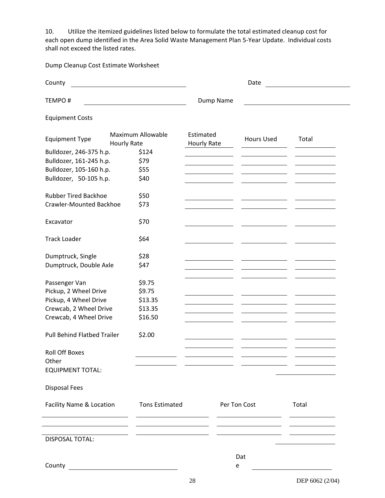10. Utilize the itemized guidelines listed below to formulate the total estimated cleanup cost for each open dump identified in the Area Solid Waste Management Plan 5-Year Update. Individual costs shall not exceed the listed rates.

Dump Cleanup Cost Estimate Worksheet

| County<br><u> 1980 - Andrea American American (</u> |                          | Date                     |                                                                                                                                                                                                                                     |                 |  |
|-----------------------------------------------------|--------------------------|--------------------------|-------------------------------------------------------------------------------------------------------------------------------------------------------------------------------------------------------------------------------------|-----------------|--|
| <b>TEMPO#</b>                                       |                          | Dump Name                |                                                                                                                                                                                                                                     |                 |  |
| <b>Equipment Costs</b>                              |                          |                          |                                                                                                                                                                                                                                     |                 |  |
| <b>Equipment Type</b><br><b>Hourly Rate</b>         | <b>Maximum Allowable</b> | Estimated<br>Hourly Rate | <b>Hours Used</b>                                                                                                                                                                                                                   | Total           |  |
| Bulldozer, 246-375 h.p.                             | \$124                    |                          |                                                                                                                                                                                                                                     |                 |  |
| Bulldozer, 161-245 h.p.                             | \$79                     |                          |                                                                                                                                                                                                                                     |                 |  |
| Bulldozer, 105-160 h.p.                             | \$55                     |                          |                                                                                                                                                                                                                                     |                 |  |
| Bulldozer, 50-105 h.p.                              | \$40                     |                          |                                                                                                                                                                                                                                     |                 |  |
| <b>Rubber Tired Backhoe</b>                         | \$50                     |                          |                                                                                                                                                                                                                                     |                 |  |
| <b>Crawler-Mounted Backhoe</b>                      | \$73                     |                          |                                                                                                                                                                                                                                     |                 |  |
| Excavator                                           | \$70                     |                          |                                                                                                                                                                                                                                     |                 |  |
| <b>Track Loader</b>                                 | \$64                     |                          |                                                                                                                                                                                                                                     |                 |  |
| Dumptruck, Single                                   | \$28                     |                          |                                                                                                                                                                                                                                     |                 |  |
| Dumptruck, Double Axle                              | \$47                     |                          |                                                                                                                                                                                                                                     |                 |  |
| Passenger Van                                       | \$9.75                   |                          |                                                                                                                                                                                                                                     |                 |  |
| Pickup, 2 Wheel Drive                               | \$9.75                   |                          |                                                                                                                                                                                                                                     |                 |  |
| Pickup, 4 Wheel Drive                               | \$13.35                  |                          |                                                                                                                                                                                                                                     |                 |  |
| Crewcab, 2 Wheel Drive                              | \$13.35                  |                          |                                                                                                                                                                                                                                     |                 |  |
| Crewcab, 4 Wheel Drive                              | \$16.50                  |                          |                                                                                                                                                                                                                                     |                 |  |
| <b>Pull Behind Flatbed Trailer</b>                  | \$2.00                   |                          |                                                                                                                                                                                                                                     |                 |  |
| <b>Roll Off Boxes</b>                               |                          |                          |                                                                                                                                                                                                                                     |                 |  |
| Other                                               |                          |                          |                                                                                                                                                                                                                                     |                 |  |
| <b>EQUIPMENT TOTAL:</b>                             |                          |                          |                                                                                                                                                                                                                                     |                 |  |
| <b>Disposal Fees</b>                                |                          |                          |                                                                                                                                                                                                                                     |                 |  |
| Facility Name & Location Tons Estimated             |                          | Per Ton Cost             |                                                                                                                                                                                                                                     | Total           |  |
|                                                     |                          |                          | <u>experience</u> and the control of the control of the control of the control of the control of the control of the control of the control of the control of the control of the control of the control of the control of the contro |                 |  |
| <b>DISPOSAL TOTAL:</b>                              |                          |                          |                                                                                                                                                                                                                                     |                 |  |
|                                                     |                          |                          |                                                                                                                                                                                                                                     |                 |  |
|                                                     |                          |                          | Dat                                                                                                                                                                                                                                 |                 |  |
|                                                     |                          | е                        |                                                                                                                                                                                                                                     |                 |  |
|                                                     |                          | 28                       |                                                                                                                                                                                                                                     | DEP 6062 (2/04) |  |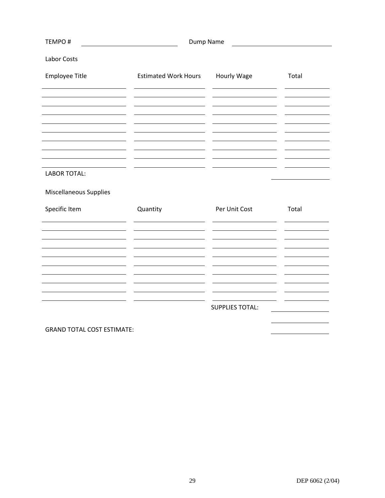| TEMPO#                 | Dump Name                   |                        |       |  |
|------------------------|-----------------------------|------------------------|-------|--|
| Labor Costs            |                             |                        |       |  |
| Employee Title         | <b>Estimated Work Hours</b> | Hourly Wage            | Total |  |
|                        |                             |                        |       |  |
|                        |                             |                        |       |  |
|                        |                             |                        |       |  |
|                        |                             |                        |       |  |
|                        |                             |                        |       |  |
| <b>LABOR TOTAL:</b>    |                             |                        |       |  |
| Miscellaneous Supplies |                             |                        |       |  |
| Specific Item          | Quantity                    | Per Unit Cost          | Total |  |
|                        |                             |                        |       |  |
|                        |                             |                        |       |  |
|                        |                             |                        |       |  |
|                        |                             |                        |       |  |
|                        |                             |                        |       |  |
|                        |                             | <b>SUPPLIES TOTAL:</b> |       |  |
|                        |                             |                        |       |  |

GRAND TOTAL COST ESTIMATE: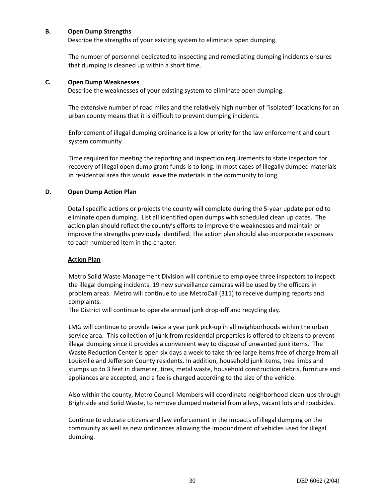#### **B. Open Dump Strengths**

Describe the strengths of your existing system to eliminate open dumping.

The number of personnel dedicated to inspecting and remediating dumping incidents ensures that dumping is cleaned up within a short time.

#### **C. Open Dump Weaknesses**

Describe the weaknesses of your existing system to eliminate open dumping.

The extensive number of road miles and the relatively high number of "isolated" locations for an urban county means that it is difficult to prevent dumping incidents.

Enforcement of illegal dumping ordinance is a low priority for the law enforcement and court system community

Time required for meeting the reporting and inspection requirements to state inspectors for recovery of illegal open dump grant funds is to long. In most cases of illegally dumped materials in residential area this would leave the materials in the community to long

#### **D. Open Dump Action Plan**

Detail specific actions or projects the county will complete during the 5-year update period to eliminate open dumping. List all identified open dumps with scheduled clean up dates. The action plan should reflect the county's efforts to improve the weaknesses and maintain or improve the strengths previously identified. The action plan should also incorporate responses to each numbered item in the chapter.

#### **Action Plan**

Metro Solid Waste Management Division will continue to employee three inspectors to inspect the illegal dumping incidents. 19 new surveillance cameras will be used by the officers in problem areas. Metro will continue to use MetroCall (311) to receive dumping reports and complaints.

The District will continue to operate annual junk drop-off and recycling day.

LMG will continue to provide twice a year junk pick-up in all neighborhoods within the urban service area. This collection of junk from residential properties is offered to citizens to prevent illegal dumping since it provides a convenient way to dispose of unwanted junk items. The Waste Reduction Center is open six days a week to take three large items free of charge from all Louisville and Jefferson County residents. In addition, household junk items, tree limbs and stumps up to 3 feet in diameter, tires, metal waste, household construction debris, furniture and appliances are accepted, and a fee is charged according to the size of the vehicle.

Also within the county, Metro Council Members will coordinate neighborhood clean-ups through Brightside and Solid Waste, to remove dumped material from alleys, vacant lots and roadsides.

Continue to educate citizens and law enforcement in the impacts of illegal dumping on the community as well as new ordinances allowing the impoundment of vehicles used for illegal dumping.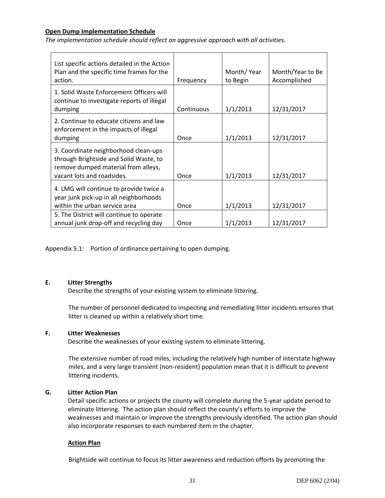#### **Open Dump Implementation Schedule**

*The implementation schedule should reflect an aggressive approach with all activities.*

| List specific actions detailed in the Action<br>Plan and the specific time frames for the<br>action.                                                | Frequency  | Month/Year<br>to Begin | Month/Year to Be<br>Accomplished |
|-----------------------------------------------------------------------------------------------------------------------------------------------------|------------|------------------------|----------------------------------|
| 1. Solid Waste Enforcement Officers will<br>continue to investigate reports of illegal<br>dumping                                                   | Continuous | 1/1/2013               | 12/31/2017                       |
| 2. Continue to educate citizens and law<br>enforcement in the impacts of illegal<br>dumping                                                         | Once       | 1/1/2013               | 12/31/2017                       |
| 3. Coordinate neighborhood clean-ups<br>through Brightside and Solid Waste, to<br>remove dumped material from alleys,<br>vacant lots and roadsides. | Once       | 1/1/2013               | 12/31/2017                       |
| 4. LMG will continue to provide twice a<br>year junk pick-up in all neighborhoods<br>within the urban service area                                  | Once       | 1/1/2013               | 12/31/2017                       |
| 5. The District will continue to operate<br>annual junk drop-off and recycling day                                                                  | Once       | 1/1/2013               | 12/31/2017                       |

Appendix 5.1: Portion of ordinance pertaining to open dumping.

#### **E. Litter Strengths**

Describe the strengths of your existing system to eliminate littering.

The number of personnel dedicated to inspecting and remediating litter incidents ensures that litter is cleaned up within a relatively short time.

#### **F. Litter Weaknesses**

Describe the weaknesses of your existing system to eliminate littering.

The extensive number of road miles, including the relatively high number of interstate highway miles, and a very large transient (non-resident) population mean that it is difficult to prevent littering incidents.

#### **G. Litter Action Plan**

Detail specific actions or projects the county will complete during the 5-year update period to eliminate littering. The action plan should reflect the county's efforts to improve the weaknesses and maintain or improve the strengths previously identified. The action plan should also incorporate responses to each numbered item in the chapter.

#### **Action Plan**

Brightside will continue to focus its litter awareness and reduction efforts by promoting the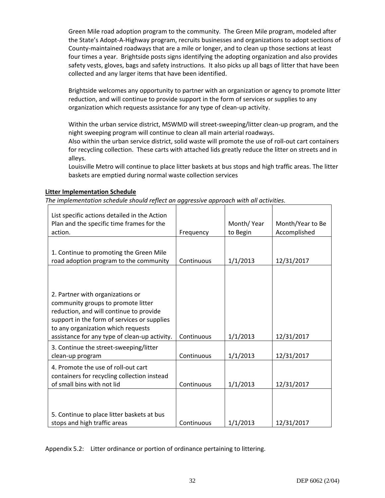Green Mile road adoption program to the community. The Green Mile program, modeled after the State's Adopt-A-Highway program, recruits businesses and organizations to adopt sections of County-maintained roadways that are a mile or longer, and to clean up those sections at least four times a year. Brightside posts signs identifying the adopting organization and also provides safety vests, gloves, bags and safety instructions. It also picks up all bags of litter that have been collected and any larger items that have been identified.

Brightside welcomes any opportunity to partner with an organization or agency to promote litter reduction, and will continue to provide support in the form of services or supplies to any organization which requests assistance for any type of clean-up activity.

Within the urban service district, MSWMD will street-sweeping/litter clean-up program, and the night sweeping program will continue to clean all main arterial roadways.

Also within the urban service district, solid waste will promote the use of roll-out cart containers for recycling collection. These carts with attached lids greatly reduce the litter on streets and in alleys.

Louisville Metro will continue to place litter baskets at bus stops and high traffic areas. The litter baskets are emptied during normal waste collection services

#### **Litter Implementation Schedule**

*The implementation schedule should reflect an aggressive approach with all activities.*

| List specific actions detailed in the Action<br>Plan and the specific time frames for the<br>action. | Frequency  | Month/Year<br>to Begin | Month/Year to Be<br>Accomplished |
|------------------------------------------------------------------------------------------------------|------------|------------------------|----------------------------------|
|                                                                                                      |            |                        |                                  |
| 1. Continue to promoting the Green Mile<br>road adoption program to the community                    | Continuous | 1/1/2013               | 12/31/2017                       |
|                                                                                                      |            |                        |                                  |
|                                                                                                      |            |                        |                                  |
| 2. Partner with organizations or<br>community groups to promote litter                               |            |                        |                                  |
| reduction, and will continue to provide                                                              |            |                        |                                  |
| support in the form of services or supplies<br>to any organization which requests                    |            |                        |                                  |
| assistance for any type of clean-up activity.                                                        | Continuous | 1/1/2013               | 12/31/2017                       |
| 3. Continue the street-sweeping/litter                                                               |            |                        |                                  |
| clean-up program                                                                                     | Continuous | 1/1/2013               | 12/31/2017                       |
| 4. Promote the use of roll-out cart                                                                  |            |                        |                                  |
| containers for recycling collection instead                                                          |            |                        |                                  |
| of small bins with not lid                                                                           | Continuous | 1/1/2013               | 12/31/2017                       |
|                                                                                                      |            |                        |                                  |
|                                                                                                      |            |                        |                                  |
| 5. Continue to place litter baskets at bus<br>stops and high traffic areas                           | Continuous | 1/1/2013               |                                  |
|                                                                                                      |            |                        | 12/31/2017                       |

Appendix 5.2: Litter ordinance or portion of ordinance pertaining to littering.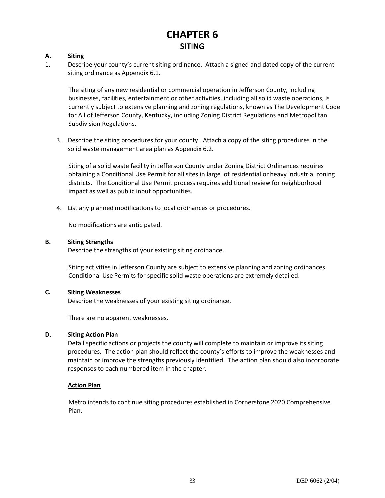## **CHAPTER 6 SITING**

#### **A. Siting**

1. Describe your county's current siting ordinance. Attach a signed and dated copy of the current siting ordinance as Appendix 6.1.

The siting of any new residential or commercial operation in Jefferson County, including businesses, facilities, entertainment or other activities, including all solid waste operations, is currently subject to extensive planning and zoning regulations, known as The Development Code for All of Jefferson County, Kentucky, including Zoning District Regulations and Metropolitan Subdivision Regulations.

3. Describe the siting procedures for your county. Attach a copy of the siting procedures in the solid waste management area plan as Appendix 6.2.

Siting of a solid waste facility in Jefferson County under Zoning District Ordinances requires obtaining a Conditional Use Permit for all sites in large lot residential or heavy industrial zoning districts. The Conditional Use Permit process requires additional review for neighborhood impact as well as public input opportunities.

4. List any planned modifications to local ordinances or procedures.

No modifications are anticipated.

#### **B. Siting Strengths**

Describe the strengths of your existing siting ordinance.

Siting activities in Jefferson County are subject to extensive planning and zoning ordinances. Conditional Use Permits for specific solid waste operations are extremely detailed.

#### **C. Siting Weaknesses**

Describe the weaknesses of your existing siting ordinance.

There are no apparent weaknesses.

#### **D. Siting Action Plan**

Detail specific actions or projects the county will complete to maintain or improve its siting procedures. The action plan should reflect the county's efforts to improve the weaknesses and maintain or improve the strengths previously identified. The action plan should also incorporate responses to each numbered item in the chapter.

#### **Action Plan**

Metro intends to continue siting procedures established in Cornerstone 2020 Comprehensive Plan.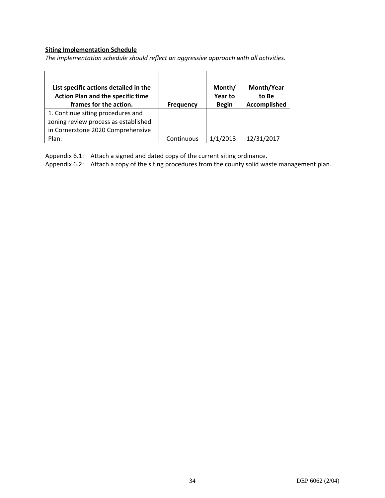### **Siting Implementation Schedule**

*The implementation schedule should reflect an aggressive approach with all activities.*

| List specific actions detailed in the<br><b>Action Plan and the specific time</b><br>frames for the action. | <b>Frequency</b> | Month/<br>Year to<br><b>Begin</b> | Month/Year<br>to Be<br>Accomplished |
|-------------------------------------------------------------------------------------------------------------|------------------|-----------------------------------|-------------------------------------|
| 1. Continue siting procedures and                                                                           |                  |                                   |                                     |
| zoning review process as established                                                                        |                  |                                   |                                     |
| in Cornerstone 2020 Comprehensive                                                                           |                  |                                   |                                     |
| Plan.                                                                                                       | Continuous       | 1/1/2013                          | 12/31/2017                          |

Appendix 6.1: Attach a signed and dated copy of the current siting ordinance.

Appendix 6.2: Attach a copy of the siting procedures from the county solid waste management plan.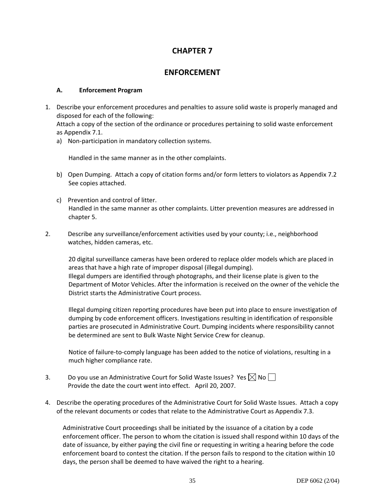## **CHAPTER 7**

### **ENFORCEMENT**

#### **A. Enforcement Program**

1. Describe your enforcement procedures and penalties to assure solid waste is properly managed and disposed for each of the following:

Attach a copy of the section of the ordinance or procedures pertaining to solid waste enforcement as Appendix 7.1.

a) Non-participation in mandatory collection systems.

Handled in the same manner as in the other complaints.

- b) Open Dumping. Attach a copy of citation forms and/or form letters to violators as Appendix 7.2 See copies attached.
- c) Prevention and control of litter. Handled in the same manner as other complaints. Litter prevention measures are addressed in chapter 5.
- 2. Describe any surveillance/enforcement activities used by your county; i.e., neighborhood watches, hidden cameras, etc.

20 digital surveillance cameras have been ordered to replace older models which are placed in areas that have a high rate of improper disposal (illegal dumping). Illegal dumpers are identified through photographs, and their license plate is given to the Department of Motor Vehicles. After the information is received on the owner of the vehicle the District starts the Administrative Court process.

Illegal dumping citizen reporting procedures have been put into place to ensure investigation of dumping by code enforcement officers. Investigations resulting in identification of responsible parties are prosecuted in Administrative Court. Dumping incidents where responsibility cannot be determined are sent to Bulk Waste Night Service Crew for cleanup.

Notice of failure-to-comply language has been added to the notice of violations, resulting in a much higher compliance rate.

- 3. Do you use an Administrative Court for Solid Waste Issues? Yes  $\boxtimes$  No  $\Box$ Provide the date the court went into effect. April 20, 2007.
- 4. Describe the operating procedures of the Administrative Court for Solid Waste Issues. Attach a copy of the relevant documents or codes that relate to the Administrative Court as Appendix 7.3.

Administrative Court proceedings shall be initiated by the issuance of a citation by a code enforcement officer. The person to whom the citation is issued shall respond within 10 days of the date of issuance, by either paying the civil fine or requesting in writing a hearing before the code enforcement board to contest the citation. If the person fails to respond to the citation within 10 days, the person shall be deemed to have waived the right to a hearing.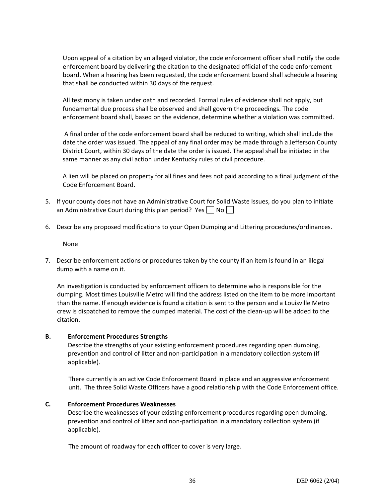Upon appeal of a citation by an alleged violator, the code enforcement officer shall notify the code enforcement board by delivering the citation to the designated official of the code enforcement board. When a hearing has been requested, the code enforcement board shall schedule a hearing that shall be conducted within 30 days of the request.

All testimony is taken under oath and recorded. Formal rules of evidence shall not apply, but fundamental due process shall be observed and shall govern the proceedings. The code enforcement board shall, based on the evidence, determine whether a violation was committed.

A final order of the code enforcement board shall be reduced to writing, which shall include the date the order was issued. The appeal of any final order may be made through a Jefferson County District Court, within 30 days of the date the order is issued. The appeal shall be initiated in the same manner as any civil action under Kentucky rules of civil procedure.

A lien will be placed on property for all fines and fees not paid according to a final judgment of the Code Enforcement Board.

- 5. If your county does not have an Administrative Court for Solid Waste Issues, do you plan to initiate an Administrative Court during this plan period? Yes  $\vert \vert$  No $\vert \vert$
- 6. Describe any proposed modifications to your Open Dumping and Littering procedures/ordinances.

None

7. Describe enforcement actions or procedures taken by the county if an item is found in an illegal dump with a name on it.

An investigation is conducted by enforcement officers to determine who is responsible for the dumping. Most times Louisville Metro will find the address listed on the item to be more important than the name. If enough evidence is found a citation is sent to the person and a Louisville Metro crew is dispatched to remove the dumped material. The cost of the clean-up will be added to the citation.

#### **B. Enforcement Procedures Strengths**

Describe the strengths of your existing enforcement procedures regarding open dumping, prevention and control of litter and non-participation in a mandatory collection system (if applicable).

There currently is an active Code Enforcement Board in place and an aggressive enforcement unit. The three Solid Waste Officers have a good relationship with the Code Enforcement office.

#### **C. Enforcement Procedures Weaknesses**

Describe the weaknesses of your existing enforcement procedures regarding open dumping, prevention and control of litter and non-participation in a mandatory collection system (if applicable).

The amount of roadway for each officer to cover is very large.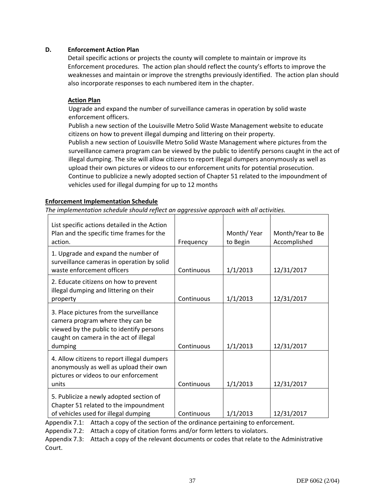#### **D. Enforcement Action Plan**

Detail specific actions or projects the county will complete to maintain or improve its Enforcement procedures. The action plan should reflect the county's efforts to improve the weaknesses and maintain or improve the strengths previously identified. The action plan should also incorporate responses to each numbered item in the chapter.

#### **Action Plan**

Upgrade and expand the number of surveillance cameras in operation by solid waste enforcement officers.

Publish a new section of the Louisville Metro Solid Waste Management website to educate citizens on how to prevent illegal dumping and littering on their property.

Publish a new section of Louisville Metro Solid Waste Management where pictures from the surveillance camera program can be viewed by the public to identify persons caught in the act of illegal dumping. The site will allow citizens to report illegal dumpers anonymously as well as upload their own pictures or videos to our enforcement units for potential prosecution. Continue to publicize a newly adopted section of Chapter 51 related to the impoundment of vehicles used for illegal dumping for up to 12 months

#### **Enforcement Implementation Schedule**

*The implementation schedule should reflect an aggressive approach with all activities.*

| List specific actions detailed in the Action<br>Plan and the specific time frames for the<br>action.                                                                         | Frequency  | Month/Year<br>to Begin | Month/Year to Be<br>Accomplished |
|------------------------------------------------------------------------------------------------------------------------------------------------------------------------------|------------|------------------------|----------------------------------|
| 1. Upgrade and expand the number of<br>surveillance cameras in operation by solid<br>waste enforcement officers                                                              | Continuous | 1/1/2013               | 12/31/2017                       |
| 2. Educate citizens on how to prevent<br>illegal dumping and littering on their<br>property                                                                                  | Continuous | 1/1/2013               | 12/31/2017                       |
| 3. Place pictures from the surveillance<br>camera program where they can be<br>viewed by the public to identify persons<br>caught on camera in the act of illegal<br>dumping | Continuous | 1/1/2013               | 12/31/2017                       |
| 4. Allow citizens to report illegal dumpers<br>anonymously as well as upload their own<br>pictures or videos to our enforcement<br>units                                     | Continuous | 1/1/2013               | 12/31/2017                       |
| 5. Publicize a newly adopted section of<br>Chapter 51 related to the impoundment<br>of vehicles used for illegal dumping                                                     | Continuous | 1/1/2013               | 12/31/2017                       |

Appendix 7.1: Attach a copy of the section of the ordinance pertaining to enforcement.

Appendix 7.2: Attach a copy of citation forms and/or form letters to violators.

Appendix 7.3: Attach a copy of the relevant documents or codes that relate to the Administrative Court.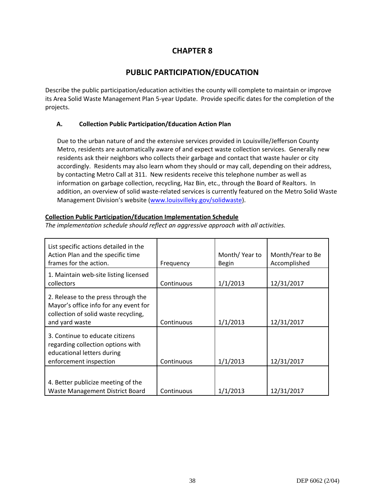## **CHAPTER 8**

## **PUBLIC PARTICIPATION/EDUCATION**

Describe the public participation/education activities the county will complete to maintain or improve its Area Solid Waste Management Plan 5-year Update. Provide specific dates for the completion of the projects.

#### **A. Collection Public Participation/Education Action Plan**

Due to the urban nature of and the extensive services provided in Louisville/Jefferson County Metro, residents are automatically aware of and expect waste collection services. Generally new residents ask their neighbors who collects their garbage and contact that waste hauler or city accordingly. Residents may also learn whom they should or may call, depending on their address, by contacting Metro Call at 311. New residents receive this telephone number as well as information on garbage collection, recycling, Haz Bin, etc., through the Board of Realtors. In addition, an overview of solid waste-related services is currently featured on the Metro Solid Waste Management Division's website [\(www.louisvilleky.gov/solidwaste\)](http://www.louisvilleky.gov/solidwaste).

#### **Collection Public Participation/Education Implementation Schedule**

| List specific actions detailed in the<br>Action Plan and the specific time<br>frames for the action.                                   | Frequency  | Month/Year to<br><b>Begin</b> | Month/Year to Be<br>Accomplished |
|----------------------------------------------------------------------------------------------------------------------------------------|------------|-------------------------------|----------------------------------|
| 1. Maintain web-site listing licensed<br>collectors                                                                                    | Continuous | 1/1/2013                      | 12/31/2017                       |
| 2. Release to the press through the<br>Mayor's office info for any event for<br>collection of solid waste recycling,<br>and yard waste | Continuous | 1/1/2013                      | 12/31/2017                       |
| 3. Continue to educate citizens<br>regarding collection options with<br>educational letters during<br>enforcement inspection           | Continuous | 1/1/2013                      | 12/31/2017                       |
| 4. Better publicize meeting of the<br>Waste Management District Board                                                                  | Continuous | 1/1/2013                      | 12/31/2017                       |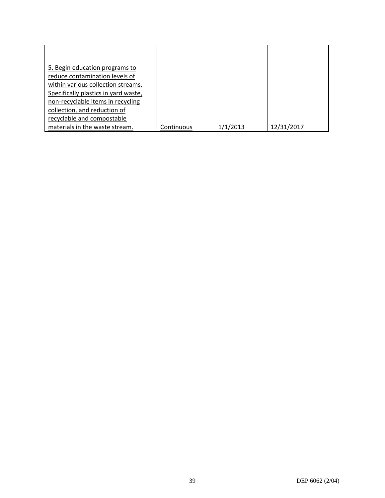| 5. Begin education programs to       |            |          |            |
|--------------------------------------|------------|----------|------------|
| reduce contamination levels of       |            |          |            |
| within various collection streams.   |            |          |            |
| Specifically plastics in yard waste, |            |          |            |
| non-recyclable items in recycling    |            |          |            |
| collection, and reduction of         |            |          |            |
| recyclable and compostable           |            |          |            |
| materials in the waste stream.       | Continuous | 1/1/2013 | 12/31/2017 |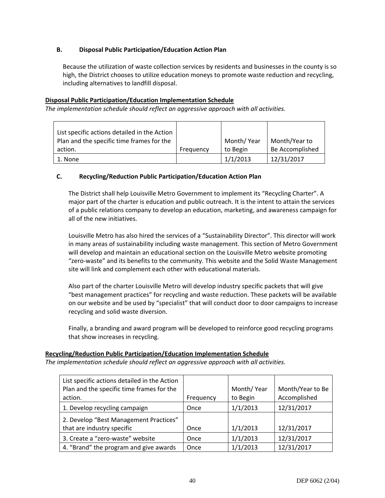#### **B. Disposal Public Participation/Education Action Plan**

Because the utilization of waste collection services by residents and businesses in the county is so high, the District chooses to utilize education moneys to promote waste reduction and recycling, including alternatives to landfill disposal.

#### **Disposal Public Participation/Education Implementation Schedule**

*The implementation schedule should reflect an aggressive approach with all activities.*

| List specific actions detailed in the Action |           |            |                 |
|----------------------------------------------|-----------|------------|-----------------|
| Plan and the specific time frames for the    |           | Month/Year | Month/Year to   |
| action.                                      | Frequency | to Begin   | Be Accomplished |
| 1. None                                      |           | 1/1/2013   | 12/31/2017      |

#### **C. Recycling/Reduction Public Participation/Education Action Plan**

The District shall help Louisville Metro Government to implement its "Recycling Charter". A major part of the charter is education and public outreach. It is the intent to attain the services of a public relations company to develop an education, marketing, and awareness campaign for all of the new initiatives.

Louisville Metro has also hired the services of a "Sustainability Director". This director will work in many areas of sustainability including waste management. This section of Metro Government will develop and maintain an educational section on the Louisville Metro website promoting "zero-waste" and its benefits to the community. This website and the Solid Waste Management site will link and complement each other with educational materials.

Also part of the charter Louisville Metro will develop industry specific packets that will give "best management practices" for recycling and waste reduction. These packets will be available on our website and be used by "specialist" that will conduct door to door campaigns to increase recycling and solid waste diversion.

Finally, a branding and award program will be developed to reinforce good recycling programs that show increases in recycling.

#### **Recycling/Reduction Public Participation/Education Implementation Schedule**

| List specific actions detailed in the Action<br>Plan and the specific time frames for the<br>action. | Frequency | Month/Year<br>to Begin | Month/Year to Be<br>Accomplished |
|------------------------------------------------------------------------------------------------------|-----------|------------------------|----------------------------------|
| 1. Develop recycling campaign                                                                        | Once      | 1/1/2013               | 12/31/2017                       |
| 2. Develop "Best Management Practices"<br>that are industry specific                                 | Once      | 1/1/2013               | 12/31/2017                       |
| 3. Create a "zero-waste" website                                                                     | Once      | 1/1/2013               | 12/31/2017                       |
| 4. "Brand" the program and give awards                                                               | Once      | 1/1/2013               | 12/31/2017                       |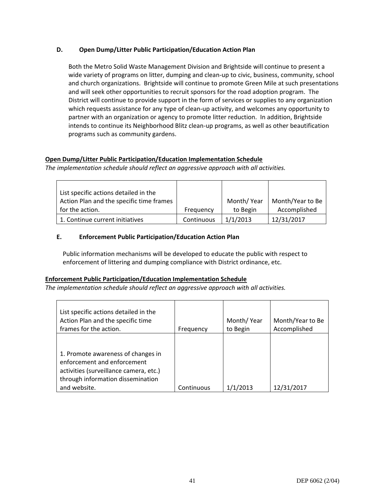#### **D. Open Dump/Litter Public Participation/Education Action Plan**

Both the Metro Solid Waste Management Division and Brightside will continue to present a wide variety of programs on litter, dumping and clean-up to civic, business, community, school and church organizations. Brightside will continue to promote Green Mile at such presentations and will seek other opportunities to recruit sponsors for the road adoption program. The District will continue to provide support in the form of services or supplies to any organization which requests assistance for any type of clean-up activity, and welcomes any opportunity to partner with an organization or agency to promote litter reduction. In addition, Brightside intends to continue its Neighborhood Blitz clean-up programs, as well as other beautification programs such as community gardens.

#### **Open Dump/Litter Public Participation/Education Implementation Schedule**

*The implementation schedule should reflect an aggressive approach with all activities.*

| List specific actions detailed in the    |            |            |                  |
|------------------------------------------|------------|------------|------------------|
| Action Plan and the specific time frames |            | Month/Year | Month/Year to Be |
| for the action.                          | Frequency  | to Begin   | Accomplished     |
| 1. Continue current initiatives          | Continuous | 1/1/2013   | 12/31/2017       |

#### **E. Enforcement Public Participation/Education Action Plan**

Public information mechanisms will be developed to educate the public with respect to enforcement of littering and dumping compliance with District ordinance, etc.

#### **Enforcement Public Participation/Education Implementation Schedule**

| List specific actions detailed in the<br>Action Plan and the specific time<br>frames for the action.                                                             | Frequency  | Month/Year<br>to Begin | Month/Year to Be<br>Accomplished |
|------------------------------------------------------------------------------------------------------------------------------------------------------------------|------------|------------------------|----------------------------------|
| 1. Promote awareness of changes in<br>enforcement and enforcement<br>activities (surveillance camera, etc.)<br>through information dissemination<br>and website. | Continuous | 1/1/2013               | 12/31/2017                       |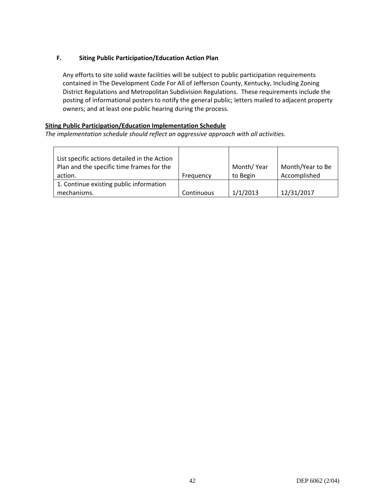#### **F. Siting Public Participation/Education Action Plan**

Any efforts to site solid waste facilities will be subject to public participation requirements contained in The Development Code For All of Jefferson County, Kentucky, Including Zoning District Regulations and Metropolitan Subdivision Regulations. These requirements include the posting of informational posters to notify the general public; letters mailed to adjacent property owners; and at least one public hearing during the process.

#### **Siting Public Participation/Education Implementation Schedule**

| List specific actions detailed in the Action |            |            |                  |
|----------------------------------------------|------------|------------|------------------|
| Plan and the specific time frames for the    |            | Month/Year | Month/Year to Be |
| action.                                      | Frequency  | to Begin   | Accomplished     |
| 1. Continue existing public information      |            |            |                  |
| mechanisms.                                  | Continuous | 1/1/2013   | 12/31/2017       |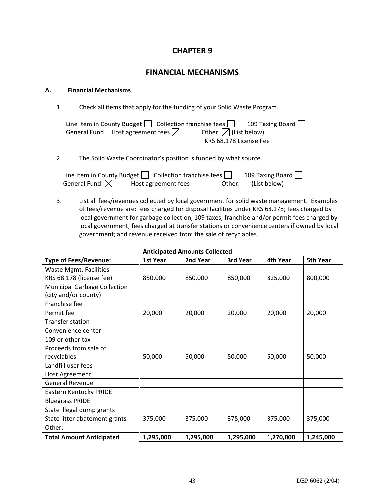### **CHAPTER 9**

### **FINANCIAL MECHANISMS**

#### **A. Financial Mechanisms**

1. Check all items that apply for the funding of your Solid Waste Program.

| Line Item in County Budget $\Box$ Collection franchise fees $\Box$ |                                 | 109 Taxing Board $\Box$ |
|--------------------------------------------------------------------|---------------------------------|-------------------------|
| General Fund Host agreement fees $\boxtimes$                       | Other: $\boxtimes$ (List below) |                         |
|                                                                    | KRS 68.178 License Fee          |                         |

#### 2. The Solid Waste Coordinator's position is funded by what source?

Line Item in County Budget  $\Box$  Collection franchise fees  $\Box$  109 Taxing Board  $\Box$ General Fund  $\boxtimes$  Host agreement fees  $\Box$  Other:  $\Box$  (List below)

3. List all fees/revenues collected by local government for solid waste management. Examples of fees/revenue are: fees charged for disposal facilities under KRS 68.178; fees charged by local government for garbage collection; 109 taxes, franchise and/or permit fees charged by local government; fees charged at transfer stations or convenience centers if owned by local government; and revenue received from the sale of recyclables.

|                                     | , ,,,,,,,,,,,,<br> |           |           |           |           |  |
|-------------------------------------|--------------------|-----------|-----------|-----------|-----------|--|
| <b>Type of Fees/Revenue:</b>        | 1st Year           | 2nd Year  | 3rd Year  | 4th Year  | 5th Year  |  |
| Waste Mgmt. Facilities              |                    |           |           |           |           |  |
| KRS 68.178 (license fee)            | 850,000            | 850,000   | 850,000   | 825,000   | 800,000   |  |
| <b>Municipal Garbage Collection</b> |                    |           |           |           |           |  |
| (city and/or county)                |                    |           |           |           |           |  |
| Franchise fee                       |                    |           |           |           |           |  |
| Permit fee                          | 20,000             | 20,000    | 20,000    | 20,000    | 20,000    |  |
| <b>Transfer station</b>             |                    |           |           |           |           |  |
| Convenience center                  |                    |           |           |           |           |  |
| 109 or other tax                    |                    |           |           |           |           |  |
| Proceeds from sale of               |                    |           |           |           |           |  |
| recyclables                         | 50,000             | 50,000    | 50,000    | 50,000    | 50,000    |  |
| Landfill user fees                  |                    |           |           |           |           |  |
| Host Agreement                      |                    |           |           |           |           |  |
| <b>General Revenue</b>              |                    |           |           |           |           |  |
| Eastern Kentucky PRIDE              |                    |           |           |           |           |  |
| <b>Bluegrass PRIDE</b>              |                    |           |           |           |           |  |
| State illegal dump grants           |                    |           |           |           |           |  |
| State litter abatement grants       | 375,000            | 375,000   | 375,000   | 375,000   | 375,000   |  |
| Other:                              |                    |           |           |           |           |  |
| <b>Total Amount Anticipated</b>     | 1,295,000          | 1,295,000 | 1,295,000 | 1,270,000 | 1,245,000 |  |

#### **Anticipated Amounts Collected**